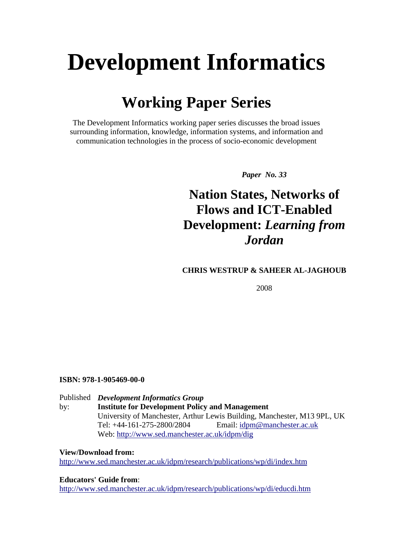# **Development Informatics**

## **Working Paper Series**

The Development Informatics working paper series discusses the broad issues surrounding information, knowledge, information systems, and information and communication technologies in the process of socio-economic development

*Paper No. 33* 

## **Nation States, Networks of Flows and ICT-Enabled Development:** *Learning from Jordan*

#### **CHRIS WESTRUP & SAHEER AL-JAGHOUB**

2008

#### **ISBN: 978-1-905469-00-0**

#### Published *Development Informatics Group*  by: **Institute for Development Policy and Management** University of Manchester, Arthur Lewis Building, Manchester, M13 9PL, UK Tel: +44-161-275-2800/2804 Email: [idpm@manchester.ac.uk](mailto:idpm@manchester.ac.uk)  Web:<http://www.sed.manchester.ac.uk/idpm/dig>

**View/Download from:** 

<http://www.sed.manchester.ac.uk/idpm/research/publications/wp/di/index.htm>

**Educators' Guide from**:

<http://www.sed.manchester.ac.uk/idpm/research/publications/wp/di/educdi.htm>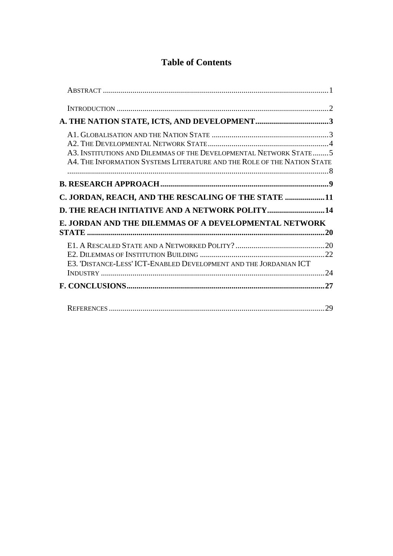#### **Table of Contents**

| A3. INSTITUTIONS AND DILEMMAS OF THE DEVELOPMENTAL NETWORK STATE 5<br>A4. THE INFORMATION SYSTEMS LITERATURE AND THE ROLE OF THE NATION STATE |     |
|-----------------------------------------------------------------------------------------------------------------------------------------------|-----|
|                                                                                                                                               |     |
| C. JORDAN, REACH, AND THE RESCALING OF THE STATE 11                                                                                           |     |
| <b>D. THE REACH INITIATIVE AND A NETWORK POLITY 14</b>                                                                                        |     |
| E. JORDAN AND THE DILEMMAS OF A DEVELOPMENTAL NETWORK                                                                                         |     |
|                                                                                                                                               |     |
| E3. 'DISTANCE-LESS' ICT-ENABLED DEVELOPMENT AND THE JORDANIAN ICT                                                                             |     |
|                                                                                                                                               |     |
|                                                                                                                                               | .29 |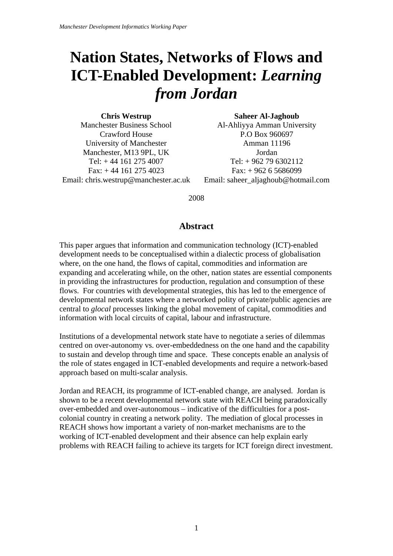## <span id="page-2-0"></span>**Nation States, Networks of Flows and ICT-Enabled Development:** *Learning from Jordan*

**Chris Westrup**  Manchester Business School Crawford House University of Manchester Manchester, M13 9PL, UK Tel: + 44 161 275 4007  $Fax: + 44$  161 275 4023 Email: chris.westrup@manchester.ac.uk

**Saheer Al-Jaghoub**  Al-Ahliyya Amman University P.O Box 960697 Amman 11196 Jordan Tel: + 962 79 6302112  $Fax: + 962 6 5686099$ Email: saheer\_aljaghoub@hotmail.com

#### 2008

#### **Abstract**

This paper argues that information and communication technology (ICT)-enabled development needs to be conceptualised within a dialectic process of globalisation where, on the one hand, the flows of capital, commodities and information are expanding and accelerating while, on the other, nation states are essential components in providing the infrastructures for production, regulation and consumption of these flows. For countries with developmental strategies, this has led to the emergence of developmental network states where a networked polity of private/public agencies are central to *glocal* processes linking the global movement of capital, commodities and information with local circuits of capital, labour and infrastructure.

Institutions of a developmental network state have to negotiate a series of dilemmas centred on over-autonomy vs. over-embeddedness on the one hand and the capability to sustain and develop through time and space. These concepts enable an analysis of the role of states engaged in ICT-enabled developments and require a network-based approach based on multi-scalar analysis.

Jordan and REACH, its programme of ICT-enabled change, are analysed. Jordan is shown to be a recent developmental network state with REACH being paradoxically over-embedded and over-autonomous – indicative of the difficulties for a postcolonial country in creating a network polity. The mediation of glocal processes in REACH shows how important a variety of non-market mechanisms are to the working of ICT-enabled development and their absence can help explain early problems with REACH failing to achieve its targets for ICT foreign direct investment.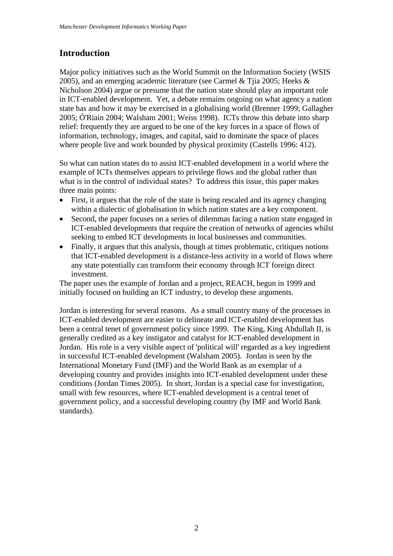#### <span id="page-3-0"></span>**Introduction**

Major policy initiatives such as the World Summit on the Information Society (WSIS 2005), and an emerging academic literature (see Carmel & Tjia 2005; Heeks & Nicholson 2004) argue or presume that the nation state should play an important role in ICT-enabled development. Yet, a debate remains ongoing on what agency a nation state has and how it may be exercised in a globalising world (Brenner 1999; Gallagher 2005; Ó'Riain 2004; Walsham 2001; Weiss 1998). ICTs throw this debate into sharp relief: frequently they are argued to be one of the key forces in a space of flows of information, technology, images, and capital, said to dominate the space of places where people live and work bounded by physical proximity (Castells 1996: 412).

So what can nation states do to assist ICT-enabled development in a world where the example of ICTs themselves appears to privilege flows and the global rather than what is in the control of individual states? To address this issue, this paper makes three main points:

- First, it argues that the role of the state is being rescaled and its agency changing within a dialectic of globalisation in which nation states are a key component.
- Second, the paper focuses on a series of dilemmas facing a nation state engaged in ICT-enabled developments that require the creation of networks of agencies whilst seeking to embed ICT developments in local businesses and communities.
- Finally, it argues that this analysis, though at times problematic, critiques notions that ICT-enabled development is a distance-less activity in a world of flows where any state potentially can transform their economy through ICT foreign direct investment.

The paper uses the example of Jordan and a project, REACH, begun in 1999 and initially focused on building an ICT industry, to develop these arguments.

Jordan is interesting for several reasons. As a small country many of the processes in ICT-enabled development are easier to delineate and ICT-enabled development has been a central tenet of government policy since 1999. The King, King Abdullah II, is generally credited as a key instigator and catalyst for ICT-enabled development in Jordan. His role is a very visible aspect of 'political will' regarded as a key ingredient in successful ICT-enabled development (Walsham 2005). Jordan is seen by the International Monetary Fund (IMF) and the World Bank as an exemplar of a developing country and provides insights into ICT-enabled development under these conditions (Jordan Times 2005). In short, Jordan is a special case for investigation, small with few resources, where ICT-enabled development is a central tenet of government policy, and a successful developing country (by IMF and World Bank standards).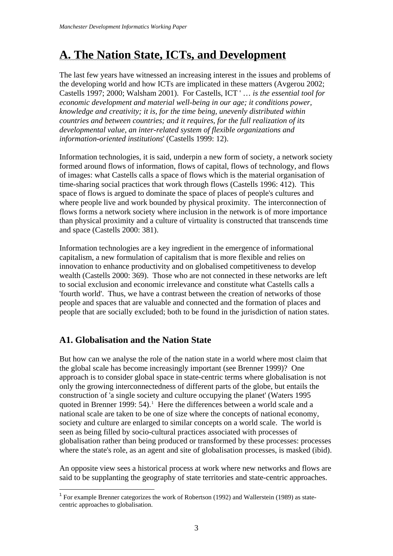## <span id="page-4-0"></span>**A. The Nation State, ICTs, and Development**

The last few years have witnessed an increasing interest in the issues and problems of the developing world and how ICTs are implicated in these matters (Avgerou 2002; Castells 1997; 2000; Walsham 2001). For Castells, ICT ' … *is the essential tool for economic development and material well-being in our age; it conditions power, knowledge and creativity; it is, for the time being, unevenly distributed within countries and between countries; and it requires, for the full realization of its developmental value, an inter-related system of flexible organizations and information-oriented institutions*' (Castells 1999: 12).

Information technologies, it is said, underpin a new form of society, a network society formed around flows of information, flows of capital, flows of technology, and flows of images: what Castells calls a space of flows which is the material organisation of time-sharing social practices that work through flows (Castells 1996: 412). This space of flows is argued to dominate the space of places of people's cultures and where people live and work bounded by physical proximity. The interconnection of flows forms a network society where inclusion in the network is of more importance than physical proximity and a culture of virtuality is constructed that transcends time and space (Castells 2000: 381).

Information technologies are a key ingredient in the emergence of informational capitalism, a new formulation of capitalism that is more flexible and relies on innovation to enhance productivity and on globalised competitiveness to develop wealth (Castells 2000: 369). Those who are not connected in these networks are left to social exclusion and economic irrelevance and constitute what Castells calls a 'fourth world'. Thus, we have a contrast between the creation of networks of those people and spaces that are valuable and connected and the formation of places and people that are socially excluded; both to be found in the jurisdiction of nation states.

#### **A1. Globalisation and the Nation State**

But how can we analyse the role of the nation state in a world where most claim that the global scale has become increasingly important (see Brenner 1999)? One approach is to consider global space in state-centric terms where globalisation is not only the growing interconnectedness of different parts of the globe, but entails the construction of 'a single society and culture occupying the planet' (Waters 1995 quoted in Brenner [1](#page-4-1)999:  $54$ ).<sup>1</sup> Here the differences between a world scale and a national scale are taken to be one of size where the concepts of national economy, society and culture are enlarged to similar concepts on a world scale. The world is seen as being filled by socio-cultural practices associated with processes of globalisation rather than being produced or transformed by these processes: processes where the state's role, as an agent and site of globalisation processes, is masked (ibid).

An opposite view sees a historical process at work where new networks and flows are said to be supplanting the geography of state territories and state-centric approaches.

<span id="page-4-1"></span><sup>&</sup>lt;u>.</u> <sup>1</sup> For example Brenner categorizes the work of Robertson (1992) and Wallerstein (1989) as statecentric approaches to globalisation.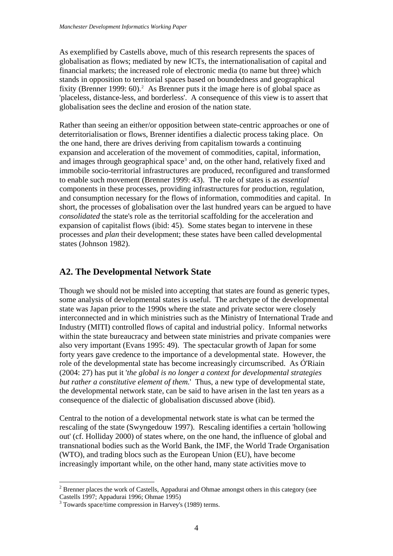<span id="page-5-0"></span>As exemplified by Castells above, much of this research represents the spaces of globalisation as flows; mediated by new ICTs, the internationalisation of capital and financial markets; the increased role of electronic media (to name but three) which stands in opposition to territorial spaces based on boundedness and geographical fixity (Brenner 1999:  $60$ ).<sup>2</sup> As Brenner puts it the image here is of global space as 'placeless, distance-less, and borderless'. A consequence of this view is to assert that globalisation sees the decline and erosion of the nation state.

Rather than seeing an either/or opposition between state-centric approaches or one of deterritorialisation or flows, Brenner identifies a dialectic process taking place. On the one hand, there are drives deriving from capitalism towards a continuing expansion and acceleration of the movement of commodities, capital, information, and images through geographical space<sup>[3](#page-5-2)</sup> and, on the other hand, relatively fixed and immobile socio-territorial infrastructures are produced, reconfigured and transformed to enable such movement (Brenner 1999: 43). The role of states is as *essential* components in these processes, providing infrastructures for production, regulation, and consumption necessary for the flows of information, commodities and capital. In short, the processes of globalisation over the last hundred years can be argued to have *consolidated* the state's role as the territorial scaffolding for the acceleration and expansion of capitalist flows (ibid: 45). Some states began to intervene in these processes and *plan* their development; these states have been called developmental states (Johnson 1982).

#### **A2. The Developmental Network State**

Though we should not be misled into accepting that states are found as generic types, some analysis of developmental states is useful. The archetype of the developmental state was Japan prior to the 1990s where the state and private sector were closely interconnected and in which ministries such as the Ministry of International Trade and Industry (MITI) controlled flows of capital and industrial policy. Informal networks within the state bureaucracy and between state ministries and private companies were also very important (Evans 1995: 49). The spectacular growth of Japan for some forty years gave credence to the importance of a developmental state. However, the role of the developmental state has become increasingly circumscribed. As Ó'Riain (2004: 27) has put it '*the global is no longer a context for developmental strategies but rather a constitutive element of them.*' Thus, a new type of developmental state, the developmental network state, can be said to have arisen in the last ten years as a consequence of the dialectic of globalisation discussed above (ibid).

Central to the notion of a developmental network state is what can be termed the rescaling of the state (Swyngedouw 1997). Rescaling identifies a certain 'hollowing out' (cf. Holliday 2000) of states where, on the one hand, the influence of global and transnational bodies such as the World Bank, the IMF, the World Trade Organisation (WTO), and trading blocs such as the European Union (EU), have become increasingly important while, on the other hand, many state activities move to

<span id="page-5-1"></span><sup>&</sup>lt;sup>2</sup> Brenner places the work of Castells, Appadurai and Ohmae amongst others in this category (see Castells 1997; Appadurai 1996; Ohmae 1995)

<span id="page-5-2"></span><sup>&</sup>lt;sup>3</sup> Towards space/time compression in Harvey's (1989) terms.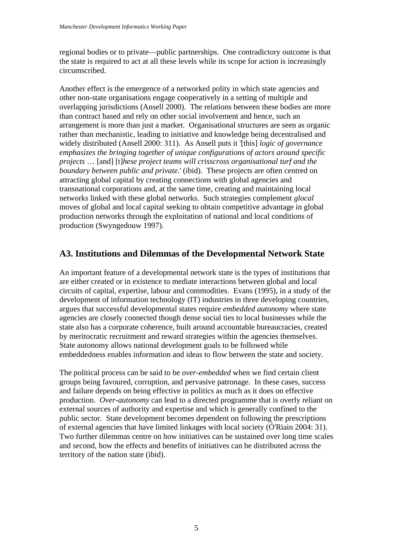<span id="page-6-0"></span>regional bodies or to private—public partnerships. One contradictory outcome is that the state is required to act at all these levels while its scope for action is increasingly circumscribed.

Another effect is the emergence of a networked polity in which state agencies and other non-state organisations engage cooperatively in a setting of multiple and overlapping jurisdictions (Ansell 2000). The relations between these bodies are more than contract based and rely on other social involvement and hence, such an arrangement is more than just a market. Organisational structures are seen as organic rather than mechanistic, leading to initiative and knowledge being decentralised and widely distributed (Ansell 2000: 311). As Ansell puts it '[this] *logic of governance emphasizes the bringing together of unique configurations of actors around specific projects* … [and] [t]*hese project teams will crisscross organisational turf and the boundary between public and private*.' (ibid). These projects are often centred on attracting global capital by creating connections with global agencies and transnational corporations and, at the same time, creating and maintaining local networks linked with these global networks. Such strategies complement *glocal*  moves of global and local capital seeking to obtain competitive advantage in global production networks through the exploitation of national and local conditions of production (Swyngedouw 1997).

#### **A3. Institutions and Dilemmas of the Developmental Network State**

An important feature of a developmental network state is the types of institutions that are either created or in existence to mediate interactions between global and local circuits of capital, expertise, labour and commodities. Evans (1995), in a study of the development of information technology (IT) industries in three developing countries, argues that successful developmental states require *embedded autonomy* where state agencies are closely connected though dense social ties to local businesses while the state also has a corporate coherence, built around accountable bureaucracies, created by meritocratic recruitment and reward strategies within the agencies themselves. State autonomy allows national development goals to be followed while embeddedness enables information and ideas to flow between the state and society.

The political process can be said to be *over-embedded* when we find certain client groups being favoured, corruption, and pervasive patronage. In these cases, success and failure depends on being effective in politics as much as it does on effective production. *Over-autonomy* can lead to a directed programme that is overly reliant on external sources of authority and expertise and which is generally confined to the public sector. State development becomes dependent on following the prescriptions of external agencies that have limited linkages with local society (Ó'Riain 2004: 31). Two further dilemmas centre on how initiatives can be sustained over long time scales and second, how the effects and benefits of initiatives can be distributed across the territory of the nation state (ibid).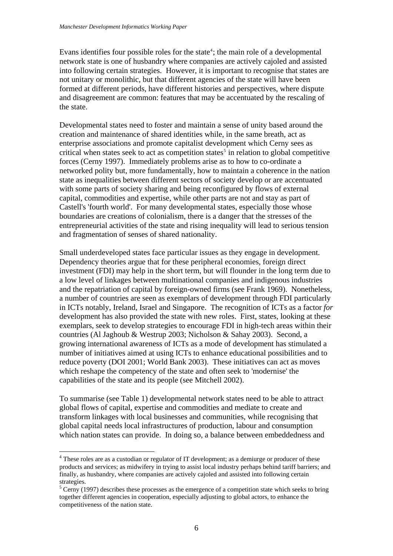Evans identifies four possible roles for the state<sup>[4](#page-7-0)</sup>; the main role of a developmental network state is one of husbandry where companies are actively cajoled and assisted into following certain strategies. However, it is important to recognise that states are not unitary or monolithic, but that different agencies of the state will have been formed at different periods, have different histories and perspectives, where dispute and disagreement are common: features that may be accentuated by the rescaling of the state.

Developmental states need to foster and maintain a sense of unity based around the creation and maintenance of shared identities while, in the same breath, act as enterprise associations and promote capitalist development which Cerny sees as critical when states seek to act as competition states<sup>[5](#page-7-1)</sup> in relation to global competitive forces (Cerny 1997). Immediately problems arise as to how to co-ordinate a networked polity but, more fundamentally, how to maintain a coherence in the nation state as inequalities between different sectors of society develop or are accentuated with some parts of society sharing and being reconfigured by flows of external capital, commodities and expertise, while other parts are not and stay as part of Castell's 'fourth world'. For many developmental states, especially those whose boundaries are creations of colonialism, there is a danger that the stresses of the entrepreneurial activities of the state and rising inequality will lead to serious tension and fragmentation of senses of shared nationality.

Small underdeveloped states face particular issues as they engage in development. Dependency theories argue that for these peripheral economies, foreign direct investment (FDI) may help in the short term, but will flounder in the long term due to a low level of linkages between multinational companies and indigenous industries and the repatriation of capital by foreign-owned firms (see Frank 1969). Nonetheless, a number of countries are seen as exemplars of development through FDI particularly in ICTs notably, Ireland, Israel and Singapore. The recognition of ICTs as a factor *for*  development has also provided the state with new roles. First, states, looking at these exemplars, seek to develop strategies to encourage FDI in high-tech areas within their countries (Al Jaghoub & Westrup 2003; Nicholson & Sahay 2003). Second, a growing international awareness of ICTs as a mode of development has stimulated a number of initiatives aimed at using ICTs to enhance educational possibilities and to reduce poverty (DOI 2001; World Bank 2003). These initiatives can act as moves which reshape the competency of the state and often seek to 'modernise' the capabilities of the state and its people (see Mitchell 2002).

To summarise (see Table 1) developmental network states need to be able to attract global flows of capital, expertise and commodities and mediate to create and transform linkages with local businesses and communities, while recognising that global capital needs local infrastructures of production, labour and consumption which nation states can provide. In doing so, a balance between embeddedness and

1

<span id="page-7-0"></span><sup>&</sup>lt;sup>4</sup> These roles are as a custodian or regulator of IT development; as a demiurge or producer of these products and services; as midwifery in trying to assist local industry perhaps behind tariff barriers; and finally, as husbandry, where companies are actively cajoled and assisted into following certain strategies.

<span id="page-7-1"></span> $<sup>5</sup>$  Cerny (1997) describes these processes as the emergence of a competition state which seeks to bring</sup> together different agencies in cooperation, especially adjusting to global actors, to enhance the competitiveness of the nation state.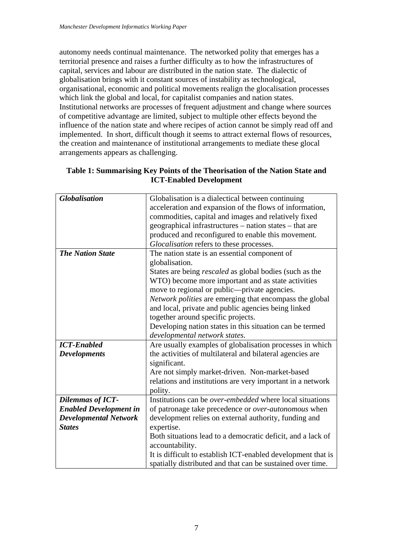autonomy needs continual maintenance. The networked polity that emerges has a territorial presence and raises a further difficulty as to how the infrastructures of capital, services and labour are distributed in the nation state. The dialectic of globalisation brings with it constant sources of instability as technological, organisational, economic and political movements realign the glocalisation processes which link the global and local, for capitalist companies and nation states. Institutional networks are processes of frequent adjustment and change where sources of competitive advantage are limited, subject to multiple other effects beyond the influence of the nation state and where recipes of action cannot be simply read off and implemented. In short, difficult though it seems to attract external flows of resources, the creation and maintenance of institutional arrangements to mediate these glocal arrangements appears as challenging.

| <b>Globalisation</b>          | Globalisation is a dialectical between continuing              |  |  |  |  |
|-------------------------------|----------------------------------------------------------------|--|--|--|--|
|                               | acceleration and expansion of the flows of information,        |  |  |  |  |
|                               | commodities, capital and images and relatively fixed           |  |  |  |  |
|                               | geographical infrastructures – nation states – that are        |  |  |  |  |
|                               | produced and reconfigured to enable this movement.             |  |  |  |  |
|                               | Glocalisation refers to these processes.                       |  |  |  |  |
| <b>The Nation State</b>       | The nation state is an essential component of                  |  |  |  |  |
|                               | globalisation.                                                 |  |  |  |  |
|                               | States are being <i>rescaled</i> as global bodies (such as the |  |  |  |  |
|                               | WTO) become more important and as state activities             |  |  |  |  |
|                               | move to regional or public—private agencies.                   |  |  |  |  |
|                               | Network polities are emerging that encompass the global        |  |  |  |  |
|                               | and local, private and public agencies being linked            |  |  |  |  |
|                               | together around specific projects.                             |  |  |  |  |
|                               | Developing nation states in this situation can be termed       |  |  |  |  |
|                               | developmental network states.                                  |  |  |  |  |
| <b>ICT-Enabled</b>            | Are usually examples of globalisation processes in which       |  |  |  |  |
| <b>Developments</b>           | the activities of multilateral and bilateral agencies are      |  |  |  |  |
|                               | significant.                                                   |  |  |  |  |
|                               | Are not simply market-driven. Non-market-based                 |  |  |  |  |
|                               | relations and institutions are very important in a network     |  |  |  |  |
|                               | polity.                                                        |  |  |  |  |
| <b>Dilemmas of ICT-</b>       | Institutions can be over-embedded where local situations       |  |  |  |  |
| <b>Enabled Development in</b> | of patronage take precedence or over-autonomous when           |  |  |  |  |
| <b>Developmental Network</b>  | development relies on external authority, funding and          |  |  |  |  |
| <b>States</b>                 | expertise.                                                     |  |  |  |  |
|                               | Both situations lead to a democratic deficit, and a lack of    |  |  |  |  |
|                               | accountability.                                                |  |  |  |  |
|                               | It is difficult to establish ICT-enabled development that is   |  |  |  |  |
|                               | spatially distributed and that can be sustained over time.     |  |  |  |  |

#### **Table 1: Summarising Key Points of the Theorisation of the Nation State and ICT-Enabled Development**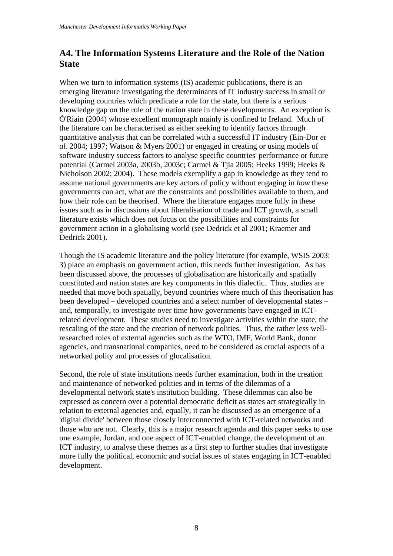#### <span id="page-9-0"></span>**A4. The Information Systems Literature and the Role of the Nation State**

When we turn to information systems (IS) academic publications, there is an emerging literature investigating the determinants of IT industry success in small or developing countries which predicate a role for the state, but there is a serious knowledge gap on the role of the nation state in these developments. An exception is Ó'Riain (2004) whose excellent monograph mainly is confined to Ireland. Much of the literature can be characterised as either seeking to identify factors through quantitative analysis that can be correlated with a successful IT industry (Ein-Dor *et al.* 2004; 1997; Watson & Myers 2001) or engaged in creating or using models of software industry success factors to analyse specific countries' performance or future potential (Carmel 2003a, 2003b, 2003c; Carmel & Tjia 2005; Heeks 1999; Heeks & Nicholson 2002; 2004). These models exemplify a gap in knowledge as they tend to assume national governments are key actors of policy without engaging in *how* these governments can act, what are the constraints and possibilities available to them, and how their role can be theorised. Where the literature engages more fully in these issues such as in discussions about liberalisation of trade and ICT growth, a small literature exists which does not focus on the possibilities and constraints for government action in a globalising world (see Dedrick et al 2001; Kraemer and Dedrick 2001).

Though the IS academic literature and the policy literature (for example, WSIS 2003: 3) place an emphasis on government action, this needs further investigation. As has been discussed above, the processes of globalisation are historically and spatially constituted and nation states are key components in this dialectic. Thus, studies are needed that move both spatially, beyond countries where much of this theorisation has been developed – developed countries and a select number of developmental states – and, temporally, to investigate over time how governments have engaged in ICTrelated development. These studies need to investigate activities within the state, the rescaling of the state and the creation of network polities. Thus, the rather less wellresearched roles of external agencies such as the WTO, IMF, World Bank, donor agencies, and transnational companies, need to be considered as crucial aspects of a networked polity and processes of glocalisation.

Second, the role of state institutions needs further examination, both in the creation and maintenance of networked polities and in terms of the dilemmas of a developmental network state's institution building. These dilemmas can also be expressed as concern over a potential democratic deficit as states act strategically in relation to external agencies and, equally, it can be discussed as an emergence of a 'digital divide' between those closely interconnected with ICT-related networks and those who are not. Clearly, this is a major research agenda and this paper seeks to use one example, Jordan, and one aspect of ICT-enabled change, the development of an ICT industry, to analyse these themes as a first step to further studies that investigate more fully the political, economic and social issues of states engaging in ICT-enabled development.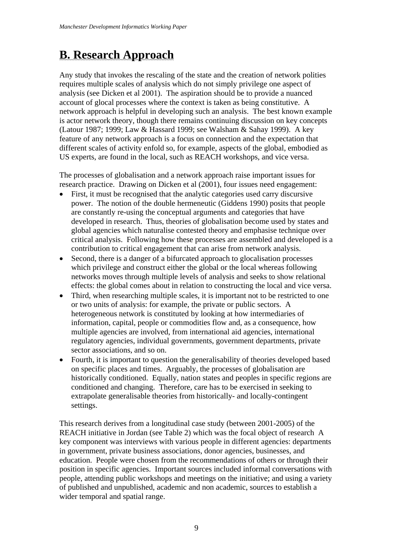## <span id="page-10-0"></span>**B. Research Approach**

Any study that invokes the rescaling of the state and the creation of network polities requires multiple scales of analysis which do not simply privilege one aspect of analysis (see Dicken et al 2001). The aspiration should be to provide a nuanced account of glocal processes where the context is taken as being constitutive. A network approach is helpful in developing such an analysis. The best known example is actor network theory, though there remains continuing discussion on key concepts (Latour 1987; 1999; Law & Hassard 1999; see Walsham & Sahay 1999). A key feature of any network approach is a focus on connection and the expectation that different scales of activity enfold so, for example, aspects of the global, embodied as US experts, are found in the local, such as REACH workshops, and vice versa.

The processes of globalisation and a network approach raise important issues for research practice. Drawing on Dicken et al (2001), four issues need engagement:

- First, it must be recognised that the analytic categories used carry discursive power. The notion of the double hermeneutic (Giddens 1990) posits that people are constantly re-using the conceptual arguments and categories that have developed in research. Thus, theories of globalisation become used by states and global agencies which naturalise contested theory and emphasise technique over critical analysis. Following how these processes are assembled and developed is a contribution to critical engagement that can arise from network analysis.
- Second, there is a danger of a bifurcated approach to glocalisation processes which privilege and construct either the global or the local whereas following networks moves through multiple levels of analysis and seeks to show relational effects: the global comes about in relation to constructing the local and vice versa.
- Third, when researching multiple scales, it is important not to be restricted to one or two units of analysis: for example, the private or public sectors. A heterogeneous network is constituted by looking at how intermediaries of information, capital, people or commodities flow and, as a consequence, how multiple agencies are involved, from international aid agencies, international regulatory agencies, individual governments, government departments, private sector associations, and so on.
- Fourth, it is important to question the generalisability of theories developed based on specific places and times. Arguably, the processes of globalisation are historically conditioned. Equally, nation states and peoples in specific regions are conditioned and changing. Therefore, care has to be exercised in seeking to extrapolate generalisable theories from historically- and locally-contingent settings.

This research derives from a longitudinal case study (between 2001-2005) of the REACH initiative in Jordan (see Table 2) which was the focal object of research A key component was interviews with various people in different agencies: departments in government, private business associations, donor agencies, businesses, and education. People were chosen from the recommendations of others or through their position in specific agencies. Important sources included informal conversations with people, attending public workshops and meetings on the initiative; and using a variety of published and unpublished, academic and non academic, sources to establish a wider temporal and spatial range.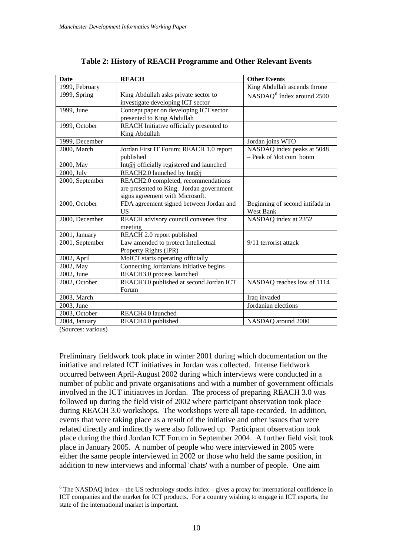| <b>Date</b>     | <b>REACH</b>                                                                                                       | <b>Other Events</b>                                    |
|-----------------|--------------------------------------------------------------------------------------------------------------------|--------------------------------------------------------|
| 1999, February  |                                                                                                                    | King Abdullah ascends throne                           |
| 1999, Spring    | King Abdullah asks private sector to<br>investigate developing ICT sector                                          | NASDAQ <sup>6</sup> index around 2500                  |
| 1999, June      | Concept paper on developing ICT sector<br>presented to King Abdullah                                               |                                                        |
| 1999, October   | REACH Initiative officially presented to<br>King Abdullah                                                          |                                                        |
| 1999, December  |                                                                                                                    | Jordan joins WTO                                       |
| 2000, March     | Jordan First IT Forum; REACH 1.0 report<br>published                                                               | NASDAQ index peaks at 5048<br>- Peak of 'dot com' boom |
| 2000, May       | Int@j officially registered and launched                                                                           |                                                        |
| 2000, July      | REACH2.0 launched by Int@j                                                                                         |                                                        |
| 2000, September | REACH2.0 completed, recommendations<br>are presented to King. Jordan government<br>signs agreement with Microsoft. |                                                        |
| 2000, October   | FDA agreement signed between Jordan and<br><b>US</b>                                                               | Beginning of second intifada in<br>West Bank           |
| 2000, December  | REACH advisory council convenes first<br>meeting                                                                   | NASDAQ index at 2352                                   |
| 2001, January   | REACH 2.0 report published                                                                                         |                                                        |
| 2001, September | Law amended to protect Intellectual<br>Property Rights (IPR)                                                       | 9/11 terrorist attack                                  |
| 2002, April     | MoICT starts operating officially                                                                                  |                                                        |
| 2002, May       | Connecting Jordanians initiative begins                                                                            |                                                        |
| 2002, June      | REACH3.0 process launched                                                                                          |                                                        |
| 2002, October   | REACH3.0 published at second Jordan ICT<br>Forum                                                                   | NASDAQ reaches low of 1114                             |
| 2003, March     |                                                                                                                    | Iraq invaded                                           |
| 2003, June      |                                                                                                                    | Jordanian elections                                    |
| 2003, October   | REACH4.0 launched                                                                                                  |                                                        |
| 2004, January   | REACH4.0 published                                                                                                 | NASDAQ around 2000                                     |

(Sources: various)

1

Preliminary fieldwork took place in winter 2001 during which documentation on the initiative and related ICT initiatives in Jordan was collected. Intense fieldwork occurred between April-August 2002 during which interviews were conducted in a number of public and private organisations and with a number of government officials involved in the ICT initiatives in Jordan. The process of preparing REACH 3.0 was followed up during the field visit of 2002 where participant observation took place during REACH 3.0 workshops. The workshops were all tape-recorded. In addition, events that were taking place as a result of the initiative and other issues that were related directly and indirectly were also followed up. Participant observation took place during the third Jordan ICT Forum in September 2004. A further field visit took place in January 2005. A number of people who were interviewed in 2005 were either the same people interviewed in 2002 or those who held the same position, in addition to new interviews and informal 'chats' with a number of people. One aim

<span id="page-11-0"></span> $6$  The NASDAQ index – the US technology stocks index – gives a proxy for international confidence in ICT companies and the market for ICT products. For a country wishing to engage in ICT exports, the state of the international market is important.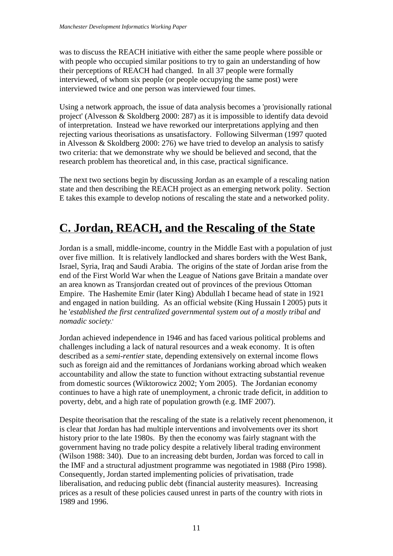<span id="page-12-0"></span>was to discuss the REACH initiative with either the same people where possible or with people who occupied similar positions to try to gain an understanding of how their perceptions of REACH had changed. In all 37 people were formally interviewed, of whom six people (or people occupying the same post) were interviewed twice and one person was interviewed four times.

Using a network approach, the issue of data analysis becomes a 'provisionally rational project' (Alvesson & Skoldberg 2000: 287) as it is impossible to identify data devoid of interpretation. Instead we have reworked our interpretations applying and then rejecting various theorisations as unsatisfactory. Following Silverman (1997 quoted in Alvesson & Skoldberg 2000: 276) we have tried to develop an analysis to satisfy two criteria: that we demonstrate why we should be believed and second, that the research problem has theoretical and, in this case, practical significance.

The next two sections begin by discussing Jordan as an example of a rescaling nation state and then describing the REACH project as an emerging network polity. Section E takes this example to develop notions of rescaling the state and a networked polity.

## **C. Jordan, REACH, and the Rescaling of the State**

Jordan is a small, middle-income, country in the Middle East with a population of just over five million. It is relatively landlocked and shares borders with the West Bank, Israel, Syria, Iraq and Saudi Arabia. The origins of the state of Jordan arise from the end of the First World War when the League of Nations gave Britain a mandate over an area known as Transjordan created out of provinces of the previous Ottoman Empire. The Hashemite Emir (later King) Abdullah I became head of state in 1921 and engaged in nation building. As an official website (King Hussain I 2005) puts it he '*established the first centralized governmental system out of a mostly tribal and nomadic society.*'

Jordan achieved independence in 1946 and has faced various political problems and challenges including a lack of natural resources and a weak economy. It is often described as a *semi-rentier* state, depending extensively on external income flows such as foreign aid and the remittances of Jordanians working abroad which weaken accountability and allow the state to function without extracting substantial revenue from domestic sources (Wiktorowicz 2002; Yom 2005). The Jordanian economy continues to have a high rate of unemployment, a chronic trade deficit, in addition to poverty, debt, and a high rate of population growth (e.g. IMF 2007).

Despite theorisation that the rescaling of the state is a relatively recent phenomenon, it is clear that Jordan has had multiple interventions and involvements over its short history prior to the late 1980s. By then the economy was fairly stagnant with the government having no trade policy despite a relatively liberal trading environment (Wilson 1988: 340). Due to an increasing debt burden, Jordan was forced to call in the IMF and a structural adjustment programme was negotiated in 1988 (Piro 1998). Consequently, Jordan started implementing policies of privatisation, trade liberalisation, and reducing public debt (financial austerity measures). Increasing prices as a result of these policies caused unrest in parts of the country with riots in 1989 and 1996.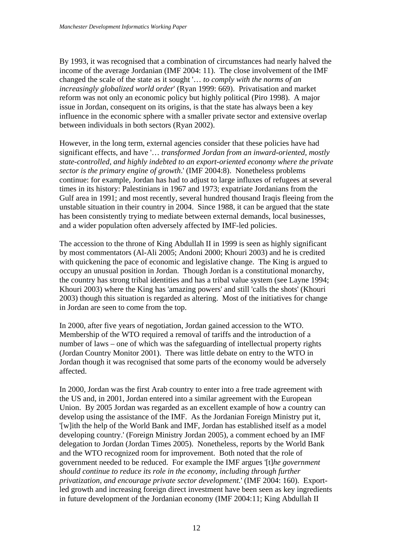By 1993, it was recognised that a combination of circumstances had nearly halved the income of the average Jordanian (IMF 2004: 11). The close involvement of the IMF changed the scale of the state as it sought '… *to comply with the norms of an increasingly globalized world order*' (Ryan 1999: 669). Privatisation and market reform was not only an economic policy but highly political (Piro 1998). A major issue in Jordan, consequent on its origins, is that the state has always been a key influence in the economic sphere with a smaller private sector and extensive overlap between individuals in both sectors (Ryan 2002).

However, in the long term, external agencies consider that these policies have had significant effects, and have '… *transformed Jordan from an inward-oriented, mostly state-controlled, and highly indebted to an export-oriented economy where the private sector is the primary engine of growth*.' (IMF 2004:8). Nonetheless problems continue: for example, Jordan has had to adjust to large influxes of refugees at several times in its history: Palestinians in 1967 and 1973; expatriate Jordanians from the Gulf area in 1991; and most recently, several hundred thousand Iraqis fleeing from the unstable situation in their country in 2004. Since 1988, it can be argued that the state has been consistently trying to mediate between external demands, local businesses, and a wider population often adversely affected by IMF-led policies.

The accession to the throne of King Abdullah II in 1999 is seen as highly significant by most commentators (Al-Ali 2005; Andoni 2000; Khouri 2003) and he is credited with quickening the pace of economic and legislative change. The King is argued to occupy an unusual position in Jordan. Though Jordan is a constitutional monarchy, the country has strong tribal identities and has a tribal value system (see Layne 1994; Khouri 2003) where the King has 'amazing powers' and still 'calls the shots' (Khouri 2003) though this situation is regarded as altering. Most of the initiatives for change in Jordan are seen to come from the top.

In 2000, after five years of negotiation, Jordan gained accession to the WTO. Membership of the WTO required a removal of tariffs and the introduction of a number of laws – one of which was the safeguarding of intellectual property rights (Jordan Country Monitor 2001). There was little debate on entry to the WTO in Jordan though it was recognised that some parts of the economy would be adversely affected.

In 2000, Jordan was the first Arab country to enter into a free trade agreement with the US and, in 2001, Jordan entered into a similar agreement with the European Union. By 2005 Jordan was regarded as an excellent example of how a country can develop using the assistance of the IMF. As the Jordanian Foreign Ministry put it, '[w]ith the help of the World Bank and IMF, Jordan has established itself as a model developing country.' (Foreign Ministry Jordan 2005), a comment echoed by an IMF delegation to Jordan (Jordan Times 2005). Nonetheless, reports by the World Bank and the WTO recognized room for improvement. Both noted that the role of government needed to be reduced. For example the IMF argues '[t]*he government should continue to reduce its role in the economy, including through further privatization, and encourage private sector development.*' (IMF 2004: 160). Exportled growth and increasing foreign direct investment have been seen as key ingredients in future development of the Jordanian economy (IMF 2004:11; King Abdullah II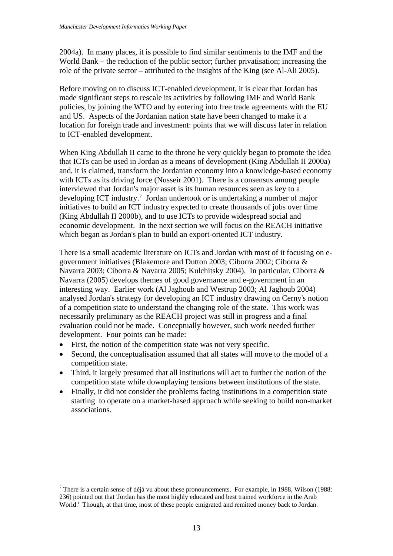2004a). In many places, it is possible to find similar sentiments to the IMF and the World Bank – the reduction of the public sector; further privatisation; increasing the role of the private sector – attributed to the insights of the King (see Al-Ali 2005).

Before moving on to discuss ICT-enabled development, it is clear that Jordan has made significant steps to rescale its activities by following IMF and World Bank policies, by joining the WTO and by entering into free trade agreements with the EU and US. Aspects of the Jordanian nation state have been changed to make it a location for foreign trade and investment: points that we will discuss later in relation to ICT-enabled development.

When King Abdullah II came to the throne he very quickly began to promote the idea that ICTs can be used in Jordan as a means of development (King Abdullah II 2000a) and, it is claimed, transform the Jordanian economy into a knowledge-based economy with ICTs as its driving force (Nusseir 2001). There is a consensus among people interviewed that Jordan's major asset is its human resources seen as key to a developing ICT industry.[7](#page-14-0) Jordan undertook or is undertaking a number of major initiatives to build an ICT industry expected to create thousands of jobs over time (King Abdullah II 2000b), and to use ICTs to provide widespread social and economic development. In the next section we will focus on the REACH initiative which began as Jordan's plan to build an export-oriented ICT industry.

There is a small academic literature on ICTs and Jordan with most of it focusing on egovernment initiatives (Blakemore and Dutton 2003; Ciborra 2002; Ciborra & Navarra 2003; Ciborra & Navarra 2005; Kulchitsky 2004). In particular, Ciborra & Navarra (2005) develops themes of good governance and e-government in an interesting way. Earlier work (Al Jaghoub and Westrup 2003; Al Jaghoub 2004) analysed Jordan's strategy for developing an ICT industry drawing on Cerny's notion of a competition state to understand the changing role of the state. This work was necessarily preliminary as the REACH project was still in progress and a final evaluation could not be made. Conceptually however, such work needed further development. Four points can be made:

• First, the notion of the competition state was not very specific.

1

- Second, the conceptualisation assumed that all states will move to the model of a competition state.
- Third, it largely presumed that all institutions will act to further the notion of the competition state while downplaying tensions between institutions of the state.
- Finally, it did not consider the problems facing institutions in a competition state starting to operate on a market-based approach while seeking to build non-market associations.

<span id="page-14-0"></span><sup>&</sup>lt;sup>7</sup> There is a certain sense of déjà vu about these pronouncements. For example, in 1988, Wilson (1988: 236) pointed out that 'Jordan has the most highly educated and best trained workforce in the Arab World.' Though, at that time, most of these people emigrated and remitted money back to Jordan.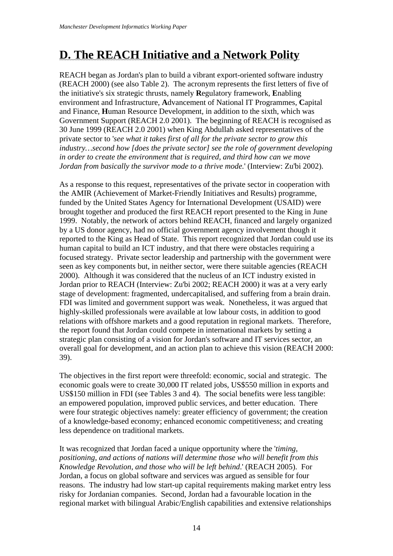## <span id="page-15-0"></span>**D. The REACH Initiative and a Network Polity**

REACH began as Jordan's plan to build a vibrant export-oriented software industry (REACH 2000) (see also Table 2). The acronym represents the first letters of five of the initiative's six strategic thrusts, namely **R**egulatory framework, **E**nabling environment and Infrastructure, **A**dvancement of National IT Programmes, **C**apital and Finance, **H**uman Resource Development, in addition to the sixth, which was Government Support (REACH 2.0 2001). The beginning of REACH is recognised as 30 June 1999 (REACH 2.0 2001) when King Abdullah asked representatives of the private sector to '*see what it takes first of all for the private sector to grow this industry…second how [does the private sector] see the role of government developing in order to create the environment that is required, and third how can we move Jordan from basically the survivor mode to a thrive mode.*' (Interview: Zu'bi 2002).

As a response to this request, representatives of the private sector in cooperation with the AMIR (Achievement of Market-Friendly Initiatives and Results) programme, funded by the United States Agency for International Development (USAID) were brought together and produced the first REACH report presented to the King in June 1999. Notably, the network of actors behind REACH, financed and largely organized by a US donor agency, had no official government agency involvement though it reported to the King as Head of State. This report recognized that Jordan could use its human capital to build an ICT industry, and that there were obstacles requiring a focused strategy. Private sector leadership and partnership with the government were seen as key components but, in neither sector, were there suitable agencies (REACH 2000). Although it was considered that the nucleus of an ICT industry existed in Jordan prior to REACH (Interview: Zu'bi 2002; REACH 2000) it was at a very early stage of development: fragmented, undercapitalised, and suffering from a brain drain. FDI was limited and government support was weak. Nonetheless, it was argued that highly-skilled professionals were available at low labour costs, in addition to good relations with offshore markets and a good reputation in regional markets. Therefore, the report found that Jordan could compete in international markets by setting a strategic plan consisting of a vision for Jordan's software and IT services sector, an overall goal for development, and an action plan to achieve this vision (REACH 2000: 39).

The objectives in the first report were threefold: economic, social and strategic. The economic goals were to create 30,000 IT related jobs, US\$550 million in exports and US\$150 million in FDI (see Tables 3 and 4). The social benefits were less tangible: an empowered population, improved public services, and better education. There were four strategic objectives namely: greater efficiency of government; the creation of a knowledge-based economy; enhanced economic competitiveness; and creating less dependence on traditional markets.

It was recognized that Jordan faced a unique opportunity where the '*timing, positioning, and actions of nations will determine those who will benefit from this Knowledge Revolution, and those who will be left behind*.' (REACH 2005). For Jordan, a focus on global software and services was argued as sensible for four reasons. The industry had low start-up capital requirements making market entry less risky for Jordanian companies. Second, Jordan had a favourable location in the regional market with bilingual Arabic/English capabilities and extensive relationships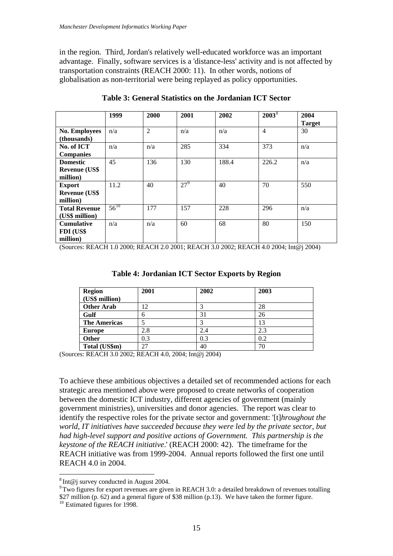in the region. Third, Jordan's relatively well-educated workforce was an important advantage. Finally, software services is a 'distance-less' activity and is not affected by transportation constraints (REACH 2000: 11). In other words, notions of globalisation as non-territorial were being replayed as policy opportunities.

|                       | 1999      | 2000           | 2001            | 2002  | $2003^8$       | 2004          |
|-----------------------|-----------|----------------|-----------------|-------|----------------|---------------|
|                       |           |                |                 |       |                | <b>Target</b> |
| <b>No. Employees</b>  | n/a       | $\overline{2}$ | n/a             | n/a   | $\overline{4}$ | 30            |
| (thousands)           |           |                |                 |       |                |               |
| No. of ICT            | n/a       | n/a            | 285             | 334   | 373            | n/a           |
| <b>Companies</b>      |           |                |                 |       |                |               |
| <b>Domestic</b>       | 45        | 136            | 130             | 188.4 | 226.2          | n/a           |
| <b>Revenue (US\$)</b> |           |                |                 |       |                |               |
| million)              |           |                |                 |       |                |               |
| <b>Export</b>         | 11.2      | 40             | 27 <sup>9</sup> | 40    | 70             | 550           |
| <b>Revenue (US\$)</b> |           |                |                 |       |                |               |
| million)              |           |                |                 |       |                |               |
| <b>Total Revenue</b>  | $56^{10}$ | 177            | 157             | 228   | 296            | n/a           |
| (US\$ million)        |           |                |                 |       |                |               |
| <b>Cumulative</b>     | n/a       | n/a            | 60              | 68    | 80             | 150           |
| FDI (US\$             |           |                |                 |       |                |               |
| million)              |           |                |                 |       |                |               |

**Table 3: General Statistics on the Jordanian ICT Sector** 

(Sources: REACH 1.0 2000; REACH 2.0 2001; REACH 3.0 2002; REACH 4.0 2004; Int@j 2004)

| <b>Region</b><br>(US\$ million) | 2001 | 2002 | 2003 |
|---------------------------------|------|------|------|
| <b>Other Arab</b>               | 12   |      | 28   |
| Gulf                            |      | 31   | 26   |
| <b>The Americas</b>             |      |      | 13   |
| <b>Europe</b>                   | 2.8  | 2.4  | 2.3  |
| Other                           | 0.3  | 0.3  | 0.2  |
| Total (US\$m)                   | 27   | 40   | 70   |

**Table 4: Jordanian ICT Sector Exports by Region** 

(Sources: REACH 3.0 2002; REACH 4.0, 2004; Int@j 2004)

To achieve these ambitious objectives a detailed set of recommended actions for each strategic area mentioned above were proposed to create networks of cooperation between the domestic ICT industry, different agencies of government (mainly government ministries), universities and donor agencies. The report was clear to identify the respective roles for the private sector and government: '[t]*hroughout the world, IT initiatives have succeeded because they were led by the private sector, but had high-level support and positive actions of Government. This partnership is the keystone of the REACH initiative*.' (REACH 2000: 42). The timeframe for the REACH initiative was from 1999-2004. Annual reports followed the first one until REACH 4.0 in 2004.

1

 $8 \text{ Int} @$  i survey conducted in August 2004.

<span id="page-16-1"></span><span id="page-16-0"></span><sup>&</sup>lt;sup>9</sup> Two figures for export revenues are given in REACH 3.0: a detailed breakdown of revenues totalling \$27 million (p. 62) and a general figure of \$38 million (p.13). We have taken the former figure.

<span id="page-16-2"></span><sup>&</sup>lt;sup>10</sup> Estimated figures for 1998.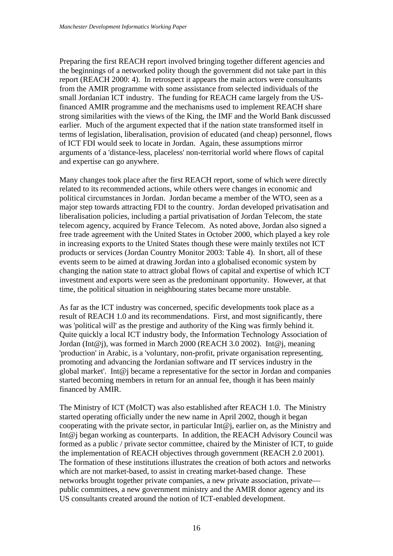Preparing the first REACH report involved bringing together different agencies and the beginnings of a networked polity though the government did not take part in this report (REACH 2000: 4). In retrospect it appears the main actors were consultants from the AMIR programme with some assistance from selected individuals of the small Jordanian ICT industry. The funding for REACH came largely from the USfinanced AMIR programme and the mechanisms used to implement REACH share strong similarities with the views of the King, the IMF and the World Bank discussed earlier. Much of the argument expected that if the nation state transformed itself in terms of legislation, liberalisation, provision of educated (and cheap) personnel, flows of ICT FDI would seek to locate in Jordan. Again, these assumptions mirror arguments of a 'distance-less, placeless' non-territorial world where flows of capital and expertise can go anywhere.

Many changes took place after the first REACH report, some of which were directly related to its recommended actions, while others were changes in economic and political circumstances in Jordan. Jordan became a member of the WTO, seen as a major step towards attracting FDI to the country. Jordan developed privatisation and liberalisation policies, including a partial privatisation of Jordan Telecom, the state telecom agency, acquired by France Telecom. As noted above, Jordan also signed a free trade agreement with the United States in October 2000, which played a key role in increasing exports to the United States though these were mainly textiles not ICT products or services (Jordan Country Monitor 2003: Table 4). In short, all of these events seem to be aimed at drawing Jordan into a globalised economic system by changing the nation state to attract global flows of capital and expertise of which ICT investment and exports were seen as the predominant opportunity. However, at that time, the political situation in neighbouring states became more unstable.

As far as the ICT industry was concerned, specific developments took place as a result of REACH 1.0 and its recommendations. First, and most significantly, there was 'political will' as the prestige and authority of the King was firmly behind it. Quite quickly a local ICT industry body, the Information Technology Association of Jordan (Int@j), was formed in March 2000 (REACH 3.0 2002). Int@j, meaning 'production' in Arabic, is a 'voluntary, non-profit, private organisation representing, promoting and advancing the Jordanian software and IT services industry in the global market'. Int@j became a representative for the sector in Jordan and companies started becoming members in return for an annual fee, though it has been mainly financed by AMIR.

The Ministry of ICT (MoICT) was also established after REACH 1.0. The Ministry started operating officially under the new name in April 2002, though it began cooperating with the private sector, in particular  $Int@$ ; earlier on, as the Ministry and Int@j began working as counterparts. In addition, the REACH Advisory Council was formed as a public / private sector committee, chaired by the Minister of ICT, to guide the implementation of REACH objectives through government (REACH 2.0 2001). The formation of these institutions illustrates the creation of both actors and networks which are not market-based, to assist in creating market-based change. These networks brought together private companies, a new private association, private public committees, a new government ministry and the AMIR donor agency and its US consultants created around the notion of ICT-enabled development.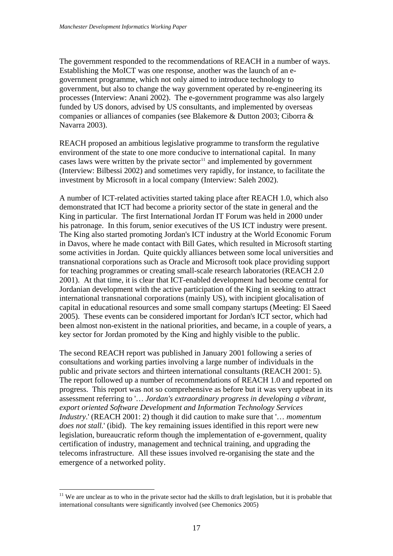The government responded to the recommendations of REACH in a number of ways. Establishing the MoICT was one response, another was the launch of an egovernment programme, which not only aimed to introduce technology to government, but also to change the way government operated by re-engineering its processes (Interview: Anani 2002). The e-government programme was also largely funded by US donors, advised by US consultants, and implemented by overseas companies or alliances of companies (see Blakemore & Dutton 2003; Ciborra & Navarra 2003).

REACH proposed an ambitious legislative programme to transform the regulative environment of the state to one more conducive to international capital. In many cases laws were written by the private sector<sup>[11](#page-18-0)</sup> and implemented by government (Interview: Bilbessi 2002) and sometimes very rapidly, for instance, to facilitate the investment by Microsoft in a local company (Interview: Saleh 2002).

A number of ICT-related activities started taking place after REACH 1.0, which also demonstrated that ICT had become a priority sector of the state in general and the King in particular. The first International Jordan IT Forum was held in 2000 under his patronage. In this forum, senior executives of the US ICT industry were present. The King also started promoting Jordan's ICT industry at the World Economic Forum in Davos, where he made contact with Bill Gates, which resulted in Microsoft starting some activities in Jordan. Quite quickly alliances between some local universities and transnational corporations such as Oracle and Microsoft took place providing support for teaching programmes or creating small-scale research laboratories (REACH 2.0 2001). At that time, it is clear that ICT-enabled development had become central for Jordanian development with the active participation of the King in seeking to attract international transnational corporations (mainly US), with incipient glocalisation of capital in educational resources and some small company startups (Meeting: El Saeed 2005). These events can be considered important for Jordan's ICT sector, which had been almost non-existent in the national priorities, and became, in a couple of years, a key sector for Jordan promoted by the King and highly visible to the public.

The second REACH report was published in January 2001 following a series of consultations and working parties involving a large number of individuals in the public and private sectors and thirteen international consultants (REACH 2001: 5). The report followed up a number of recommendations of REACH 1.0 and reported on progress. This report was not so comprehensive as before but it was very upbeat in its assessment referring to '… *Jordan's extraordinary progress in developing a vibrant, export oriented Software Development and Information Technology Services Industry*.' (REACH 2001: 2) though it did caution to make sure that '… *momentum does not stall.*' (ibid). The key remaining issues identified in this report were new legislation, bureaucratic reform though the implementation of e-government, quality certification of industry, management and technical training, and upgrading the telecoms infrastructure. All these issues involved re-organising the state and the emergence of a networked polity.

<u>.</u>

<span id="page-18-0"></span><sup>&</sup>lt;sup>11</sup> We are unclear as to who in the private sector had the skills to draft legislation, but it is probable that international consultants were significantly involved (see Chemonics 2005)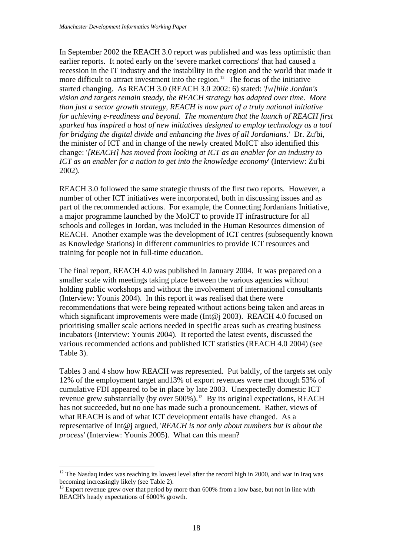In September 2002 the REACH 3.0 report was published and was less optimistic than earlier reports. It noted early on the 'severe market corrections' that had caused a recession in the IT industry and the instability in the region and the world that made it more difficult to attract investment into the region.<sup>[12](#page-19-0)</sup> The focus of the initiative started changing. As REACH 3.0 (REACH 3.0 2002: 6) stated: '*[w]hile Jordan's vision and targets remain steady, the REACH strategy has adapted over time. More than just a sector growth strategy, REACH is now part of a truly national initiative for achieving e-readiness and beyond. The momentum that the launch of REACH first sparked has inspired a host of new initiatives designed to employ technology as a tool for bridging the digital divide and enhancing the lives of all Jordanians.*' Dr. Zu'bi, the minister of ICT and in change of the newly created MoICT also identified this change: '*[REACH] has moved from looking at ICT as an enabler for an industry to ICT as an enabler for a nation to get into the knowledge economy*' (Interview: Zu'bi 2002).

part of the recommended actions. For example, the Connecting Jordanians Initiative, REACH. Another example was the development of ICT centres (subsequently known as Knowledge Stations) in different communities to provide ICT resources and training for people not in full-time education. REACH 3.0 followed the same strategic thrusts of the first two reports. However, a number of other ICT initiatives were incorporated, both in discussing issues and as a major programme launched by the MoICT to provide IT infrastructure for all schools and colleges in Jordan, was included in the Human Resources dimension of

The final report, REACH 4.0 was published in January 2004. It was prepared on a holding public workshops and without the involvement of international consultants prioritising smaller scale actions needed in specific areas such as creating business various recommended actions and published ICT statistics (REACH 4.0 2004) (see Table 3). smaller scale with meetings taking place between the various agencies without (Interview: Younis 2004). In this report it was realised that there were recommendations that were being repeated without actions being taken and areas in which significant improvements were made (Int@j 2003). REACH 4.0 focused on incubators (Interview: Younis 2004). It reported the latest events, discussed the

Tables 3 and 4 show how REACH was represented. Put baldly, of the targets set only has not succeeded, but no one has made such a pronouncement. Rather, views of representative of Int@j argued, '*REACH* is not only about numbers but is about the *rocess*' (Interview: Younis 2005). What can this mean? *p* 12% of the employment target and13% of export revenues were met though 53% of cumulative FDI appeared to be in place by late 2003. Unexpectedly domestic ICT revenue grew substantially (by over 500%).<sup>[13](#page-19-1)</sup> By its original expectations, REACH what REACH is and of what ICT development entails have changed. As a

<u>.</u>

<span id="page-19-0"></span> $12$  The Nasdaq index was reaching its lowest level after the record high in 2000, and war in Iraq was becoming increasingly likely (see Table 2).

<span id="page-19-1"></span> $^{13}$  Export revenue grew over that period by more than 600% from a low base, but not in line with REACH's heady expectations of 6000% growth.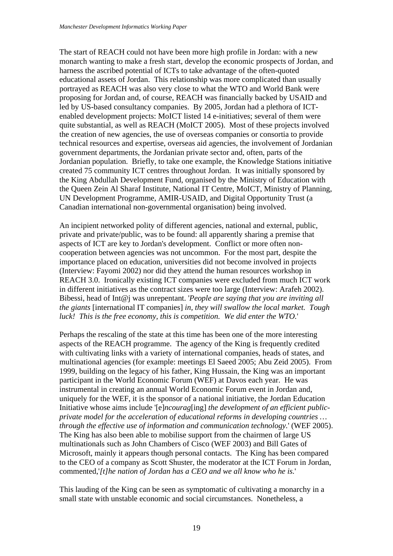The start of REACH could not have been more high profile in Jordan: with a new monarch wanting to make a fresh start, develop the economic prospects of Jordan, a nd harness the ascribed potential of ICTs to take advantage of the often-quoted educational assets of Jordan. This relationship was more complicated than usually portrayed as REACH was also very close to what the WTO and World Bank were proposing for Jordan and, of course, REACH was financially backed by USAID and led by US-based consultancy companies. By 2005, Jordan had a plethora of ICTenabled development projects: MoICT listed 14 e-initiatives; several of them were quite substantial, as well as REACH (MoICT 2005). Most of these projects involved the creation of new agencies, the use of overseas companies or consortia to pr ovide technical resources and expertise, overseas aid agencies, the involvement of Jordanian government departments, the Jordanian private sector and, often, parts of the Jordanian population. Briefly, to take one example, the Knowledge Stations initiative created 75 community ICT centres throughout Jordan. It was initially sponsored by the King Abdullah Development Fund, organised by the Ministry of Education w ith the Queen Zein Al Sharaf Institute, National IT Centre, MoICT, Ministry of Planning, UN Development Programme, AMIR-USAID, and Digital Opportunity Trust (a Canadian international non-governmental organisation) being involved.

An incipient networked polity of different agencies, national and external, public, Bibessi, head of Int@j was unrepentant. '*People are saying that you are inviting all e giants* [international IT companies] *in, they will swallow the local market. Tough th* private and private/public, was to be found: all apparently sharing a premise that aspects of ICT are key to Jordan's development. Conflict or more often noncooperation between agencies was not uncommon. For the most part, despite the importance placed on education, universities did not become involved in projects (Interview: Fayomi 2002) nor did they attend the human resources workshop in REACH 3.0. Ironically existing ICT companies were excluded from much ICT work in different initiatives as the contract sizes were too large (Interview: Arafeh 2002). *luck! This is the free economy, this is competition. We did enter the WTO.*'

multinational agencies (for example: meetings El Saeed 2005; Abu Zeid 2005). From 1999, building on the legacy of his father, King Hussain, the King was an important private model for the acceleration of educational reforms in developing countries ... through the effective use of information and communication technology.' (WEF 2005). Microsoft, mainly it appears though personal contacts. The King has been compared to the CEO of a company as Scott Shuster, the moderator at the ICT Forum in Jordan, Perhaps the rescaling of the state at this time has been one of the more interesting aspects of the REACH programme. The agency of the King is frequently credited with cultivating links with a variety of international companies, heads of states, and participant in the World Economic Forum (WEF) at Davos each year. He was instrumental in creating an annual World Economic Forum event in Jordan and, uniquely for the WEF, it is the sponsor of a national initiative, the Jordan Education Initiative whose aims include '[e]*ncourag*[ing] *the development of an efficient public-*The King has also been able to mobilise support from the chairmen of large US multinationals such as John Chambers of Cisco (WEF 2003) and Bill Gates of commented,'*[t]he nation of Jordan has a CEO and we all know who he is.*'

This lauding of the King can be seen as symptomatic of cultivating a monarchy in a small state with unstable economic and social circumstances. Nonetheless, a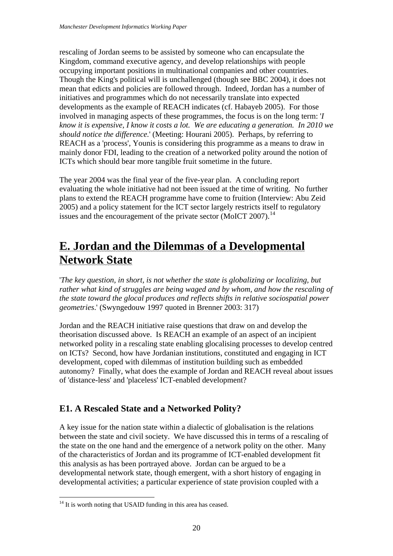<span id="page-21-0"></span>rescaling of Jordan seems to be assisted by someone who can encapsulate the Kingdom, command executive agency, and develop relationships with people occupying important positions in multinational companies and other countries. Though the King's political will is unchallenged (though see BBC 2004), it does not mean that edicts and policies are followed through. Indeed, Jordan has a number of initiatives and programmes which do not necessarily translate into expected developments as the example of REACH indicates (cf. Habayeb 2005). For those involved in managing aspects of these programmes, the focus is on the long term: ' *I*  know it is expensive, I know it costs a lot. We are educating a generation. In 2010 we *should notice the difference.*' (Meeting: Hourani 2005). Perhaps, by referring to REACH as a 'process', Younis is considering this programme as a m eans to draw in mainly donor FDI, leading to the creation of a networked polity around the notion of ICTs which should bear more tangible fruit sometime in the future.

evaluating the whole initiative had not been issued at the time of writing. No further plans to extend the REACH programme have come to fruition (Interview: Abu Zeid 2005) and a policy statement for the ICT sector largely restricts itself to regulatory issues and the encouragement of the private sector (MoICT 2007).<sup>14</sup> The year 2004 was the final year of the five-year plan. A concluding report

## **<u>E. Jordan and the Dilemmas of a Developmental</u> Network State**

'*The key question, in short, is not whether the state is globalizing or localizing, but rather what kind of struggles are being waged and by whom, and how the rescaling of e state toward the glocal produces and reflects shifts in relative sociospatial power th geometries*.' (Swyngedouw 1997 quoted in Brenner 2003: 317)

networked polity in a rescaling state enabling glocalising processes to develop centred development, coped with dilemmas of institution building such as embedded utonomy? Finally, what does the example of Jordan and REACH reveal about issues a of 'distance-less' and 'placeless' ICT-enabled development? Jordan and the REACH initiative raise questions that draw on and develop the theorisation discussed above. Is REACH an example of an aspect of an incipient on ICTs? Second, how have Jordanian institutions, constituted and engaging in ICT

#### **E1. A Rescaled State and a Networked Polity?**

between the state and civil society. We have discussed this in terms of a rescaling of the state on the one hand and the emergence of a network polity on the other. Many A key issue for the nation state within a dialectic of globalisation is the relations of the characteristics of Jordan and its programme of ICT-enabled development fit this analysis as has been portrayed above. Jordan can be argued to be a developmental network state, though emergent, with a short history of engaging in developmental activities; a particular experience of state provision coupled with a

<sup>1</sup>  $14$  It is worth noting that USAID funding in this area has ceased.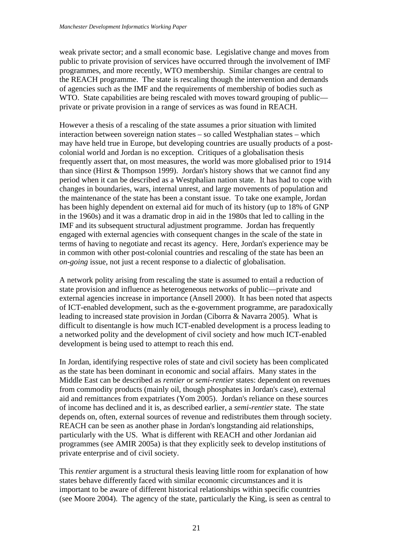weak private sector; and a small economic base. Legislative change and moves from public to private provision of services have occurred through the involvement of IMF programmes, and more recently, WTO membership. Similar changes are central to the REACH programme. The state is rescaling though the intervention and demands of agencies such as the IMF and the requirements of membership of bodies such as WTO. State capabilities are being rescaled with moves toward grouping of public private or private provision in a range of services as was found in REACH.

interaction between sovereign nation states – so called Westphalian states – which has been highly dependent on external aid for much of its history (up to 18% of GNP terms of having to negotiate and recast its agency. Here, Jordan's experience may be in common with other post-colonial countries and rescaling of the state has been an However a thesis of a rescaling of the state assumes a prior situation with limited may have held true in Europe, but developing countries are usually products of a postcolonial world and Jordan is no exception. Critiques of a globalisation thesis frequently assert that, on most measures, the world was more globalised prior to 1914 than since (Hirst & Thompson 1999). Jordan's history shows that we cannot find any period when it can be described as a Westphalian nation state. It has had to cope with changes in boundaries, wars, internal unrest, and large movements of population and the maintenance of the state has been a constant issue. To take one example, Jordan in the 1960s) and it was a dramatic drop in aid in the 1980s that led to calling in the IMF and its subsequent structural adjustment programme. Jordan has frequently engaged with external agencies with consequent changes in the scale of the state in *on-going* issue, not just a recent response to a dialectic of globalisation.

external agencies increase in importance (Ansell 2000). It has been noted that aspects difficult to disentangle is how much ICT-enabled development is a process leading to a networked polity and the development of civil society and how much ICT-enabled A network polity arising from rescaling the state is assumed to entail a reduction of state provision and influence as heterogeneous networks of public—private and of ICT-enabled development, such as the e-government programme, are paradoxically leading to increased state provision in Jordan (Ciborra & Navarra 2005). What is development is being used to attempt to reach this end.

of income has declined and it is, as described earlier, a *semi-rentier* state. The state depends on, often, external sources of revenue and redistributes them through society. particularly with the US. What is different with REACH and other Jordanian aid programmes (see AMIR 2005a) is that they explicitly seek to develop institutions of In Jordan, identifying respective roles of state and civil society has been complicated as the state has been dominant in economic and social affairs. Many states in the Middle East can be described as *rentier* or *semi-rentier* states: dependent on revenues from commodity products (mainly oil, though phosphates in Jordan's case), external aid and remittances from expatriates (Yom 2005). Jordan's reliance on these sources REACH can be seen as another phase in Jordan's longstanding aid relationships, private enterprise and of civil society.

important to be aware of different historical relationships within specific countries This *rentier* argument is a structural thesis leaving little room for explanation of how states behave differently faced with similar economic circumstances and it is (see Moore 2004). The agency of the state, particularly the King, is seen as central to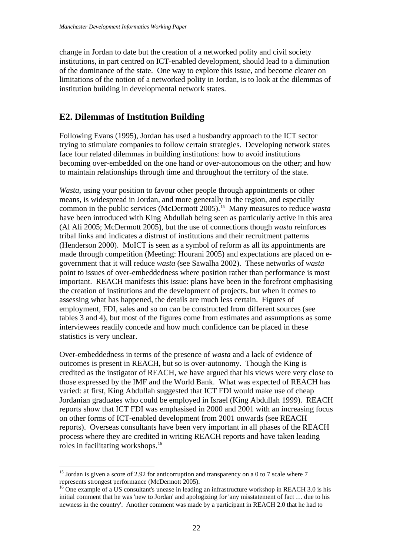<span id="page-23-0"></span>change in Jordan to date but the creation of a networked polity and civil society institutions, in part centred on ICT-enabled development, should lead to a diminution of the dominance of the state. One way to explore this issue, and become clearer on limitations of the notion of a networked polity in Jordan, is to look at the dilemmas of institution building in developmental network states.

#### **E2. Dilemmas of Institution Building**

Following Evans (1995), Jordan has used a husbandry approach to the ICT sector becoming over-embedded on the one hand or over-autonomous on the other; and how trying to stimulate companies to follow certain strategies. Developing network states face four related dilemmas in building institutions: how to avoid institutions to maintain relationships through time and throughout the territory of the state.

have been introduced with King Abdullah being seen as particularly active in this area point to issues of over-embeddedness where position rather than performance is most important. REACH manifests this issue: plans have been in the forefront emphasising employment, FDI, sales and so on can be constructed from different sources (see tables 3 and 4), but most of the figures come from estimates and assumptions as some interviewees readily concede and how much confidence can be placed in these *Wasta*, using your position to favour other people through appointments or other means, is widespread in Jordan, and more generally in the region, and especially common in the public services (McDermott 2005).[15](#page-23-1) Many measures to reduce *wasta* (Al Ali 2005; McDermott 2005), but the use of connections though *wasta* reinforces tribal links and indicates a distrust of institutions and their recruitment patterns (Henderson 2000). MoICT is seen as a symbol of reform as all its appointments are made through competition (Meeting: Hourani 2005) and expectations are placed on egovernment that it will reduce *wasta* (see Sawalha 2002). These networks of *wasta* the creation of institutions and the development of projects, but when it comes to assessing what has happened, the details are much less certain. Figures of statistics is very unclear.

credited as the instigator of REACH, we have argued that his views were very close to Jordanian graduates who could be employed in Israel (King Abdullah 1999). REACH reports). Overseas consultants have been very important in all phases of the REACH process where they are credited in writing REACH reports and have taken leading roles in facilitating workshops.16 Over-embeddedness in terms of the presence of *wasta* and a lack of evidence of outcomes is present in REACH, but so is over-autonomy. Though the King is those expressed by the IMF and the World Bank. What was expected of REACH has varied: at first, King Abdullah suggested that ICT FDI would make use of cheap reports show that ICT FDI was emphasised in 2000 and 2001 with an increasing focus on other forms of ICT-enabled development from 2001 onwards (see REACH

<u>.</u>

<span id="page-23-1"></span><sup>&</sup>lt;sup>15</sup> Jordan is given a score of 2.92 for anticorruption and transparency on a 0 to 7 scale where  $7$ represents strongest performance (McDermott 2005).

<sup>&</sup>lt;sup>16</sup> One example of a US consultant's unease in leading an infrastructure workshop in REACH 3.0 is his initial comment that he was 'new to Jordan' and apologizing for 'any misstatement of fact … due to his newness in the country'. Another comment was made by a participant in REACH 2.0 that he had to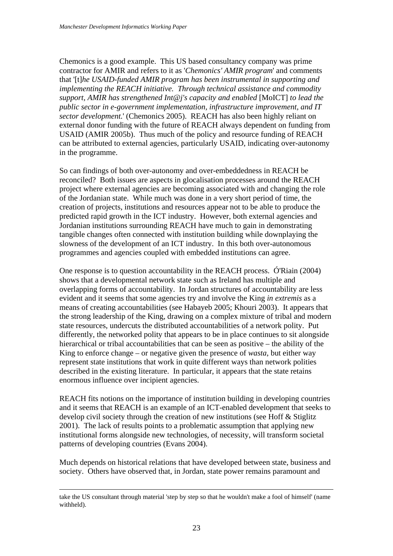Chemonics is a good example. This US based consultancy company was prime contractor for AMIR and refers to it as '*Chemonics' AMIR program*' and comments that '[t]*he USAID-funded AMIR program has been instrumental in supporting and implementing the REACH initiative. Through technical assistance and commodity support, AMIR has strengthened Int@j's capacity and enabled* [MoICT] *to lead the public sector in e-government implementation, infrastructure improvement, and IT sector development.*' (Chemonics 2005). REACH has also been highly reliant on external donor funding with the future of REACH always dependent on funding from USAID (AMIR 2005b). Thus much of the policy and resource funding of REACH can be attributed to external agencies, particularly USAID, indicating over-autonomy in the programme.

project where external agencies are becoming associated with and changing the role tangible changes often connected with institution building while downplaying the slowness of the development of an ICT industry. In this both over-autonomous programmes and agencies coupled with embedded institutions can agree. So can findings of both over-autonomy and over-embeddedness in REACH be reconciled? Both issues are aspects in glocalisation processes around the REACH of the Jordanian state. While much was done in a very short period of time, the creation of projects, institutions and resources appear not to be able to produce the predicted rapid growth in the ICT industry. However, both external agencies and Jordanian institutions surrounding REACH have much to gain in demonstrating

One response is to question accountability in the REACH process. Ó'Riain (2004) overlapping forms of accountability. In Jordan structures of accountability are less the strong leadership of the King, drawing on a complex mixture of tribal and modern hierarchical or tribal accountabilities that can be seen as positive – the ability of the described in the existing literature. In particular, it appears that the state retains enormous influence over incipient agencies. shows that a developmental network state such as Ireland has multiple and evident and it seems that some agencies try and involve the King *in extremis* as a means of creating accountabilities (see Habayeb 2005; Khouri 2003). It appears that state resources, undercuts the distributed accountabilities of a network polity. Put differently, the networked polity that appears to be in place continues to sit alongside King to enforce change – or negative given the presence of *wasta*, but either way represent state institutions that work in quite different ways than network polities

and it seems that REACH is an example of an ICT-enabled development that seeks to institutional forms alongside new technologies, of necessity, will transform societal patterns of developing countries (Evans 2004). REACH fits notions on the importance of institution building in developing countries develop civil society through the creation of new institutions (see Hoff & Stiglitz 2001). The lack of results points to a problematic assumption that applying new

Much depends on historical relations that have developed between state, business and society. Others have observed that, in Jordan, state power remains paramount and

take the US consultant through material 'step by step so that he wouldn't make a fool of himself' (name withheld).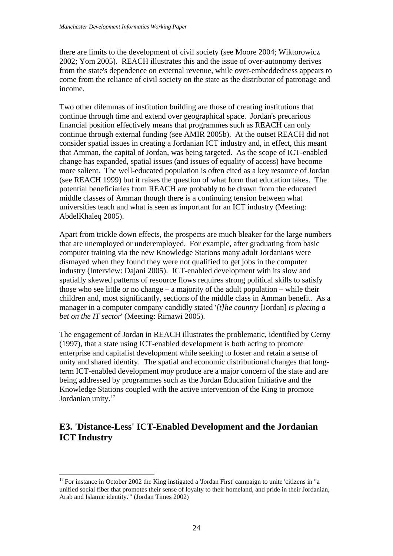<span id="page-25-0"></span>there are limits to the development of civil society (see Moore 2004; Wiktorowicz 2002; Yom 2005). REACH illustrates this and the issue of over-autonomy derives from the state's dependence on external revenue, while over-embeddedness appears to come from the reliance of civil society on the state as the distributor of patronage and income.

continue through external funding (see AMIR 2005b). At the outset REACH did not more salient. The well-educated population is often cited as a key resource of Jordan (see REACH 1999) but it raises the question of what form that education takes. The potential beneficiaries from REACH are probably to be drawn from the educated middle classes of Amman though there is a continuing tension between what Two other dilemmas of institution building are those of creating institutions that continue through time and extend over geographical space. Jordan's precarious financial position effectively means that programmes such as REACH can only consider spatial issues in creating a Jordanian ICT industry and, in effect, this meant that Amman, the capital of Jordan, was being targeted. As the scope of ICT-enabled change has expanded, spatial issues (and issues of equality of access) have become universities teach and what is seen as important for an ICT industry (Meeting: AbdelKhaleq 2005).

Apart from trickle down effects, the prospects are much bleaker for the large numbers that are unemployed or underemployed. For example, after graduating from basic those who see little or no change  $-$  a majority of the adult population  $-$  while their children and, most significantly, sections of the middle class in Amman benefit. As a computer training via the new Knowledge Stations many adult Jordanians were dismayed when they found they were not qualified to get jobs in the computer industry (Interview: Dajani 2005). ICT-enabled development with its slow and spatially skewed patterns of resource flows requires strong political skills to satisfy manager in a computer company candidly stated '*[t]he country* [Jordan] *is placing a bet on the IT sector*' (Meeting: Rimawi 2005).

enterprise and capitalist development while seeking to foster and retain a sense of unity and shared identity. The spatial and economic distributional changes that longterm ICT-enabled development *may* produce are a major concern of the state and are being addressed by programmes such as the Jordan Education Initiative and the Knowledge Stations coupled with the active intervention of the King to promote The engagement of Jordan in REACH illustrates the problematic, identified by Cerny (1997), that a state using ICT-enabled development is both acting to promote Jordanian unity.<sup>17</sup>

#### **E3. 'Distance-Less' ICT-Enabled Development and the Jordanian ICT Industry**

1

 $17$  For instance in October 2002 the King instigated a 'Jordan First' campaign to unite 'citizens in "a unified social fiber that promotes their sense of loyalty to their homeland, and pride in their Jordanian, Arab and Islamic identity."' (Jordan Times 2002)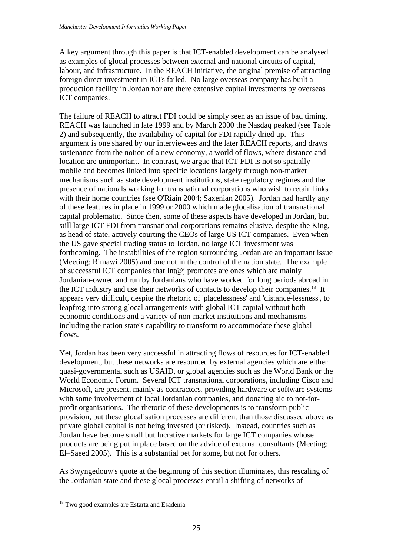A key argument through this paper is that ICT-enabled development can be analysed as examples of glocal processes between external and national circuits of capital, labour, and infrastructure. In the REACH initiative, the original premise of attracting foreign direct investment in ICTs failed. No large overseas company has built a production facility in Jordan nor are there extensive capital investments by overseas ICT companies.

REACH was launched in late 1999 and by March 2000 the Nasdaq peaked (see Table of these features in place in 1999 or 2000 which made glocalisation of transnational as head of state, actively courting the CEOs of large US ICT companies. Even when forthcoming. The instabilities of the region surrounding Jordan are an important issue Jordanian-owned and run by Jordanians who have worked for long periods abroad in the ICT industry and use their networks of contacts to develop their companies.<sup>[18](#page-26-0)</sup> It [appears](#page-26-0) very difficult, despite the rhetoric of 'placelessness' and 'distance-lessness', to leapfrog into strong glocal arrangements with global ICT capital without both The failure of REACH to attract FDI could be simply seen as an issue of bad timing. 2) and subsequently, the availability of capital for FDI rapidly dried up. This argument is one shared by our interviewees and the later REACH reports, and draws sustenance from the notion of a new economy, a world of flows, where distance and location are unimportant. In contrast, we argue that ICT FDI is not so spatially mobile and becomes linked into specific locations largely through non-market mechanisms such as state development institutions, state regulatory regimes and the presence of nationals working for transnational corporations who wish to retain links with their home countries (see O'Riain 2004; Saxenian 2005). Jordan had hardly any capital problematic. Since then, some of these aspects have developed in Jordan, but still large ICT FDI from transnational corporations remains elusive, despite the King, the US gave special trading status to Jordan, no large ICT investment was (Meeting: Rimawi 2005) and one not in the control of the nation state. The example of successful ICT companies that  $Int@$  promotes are ones which are mainly economic conditions and a variety of non-market institutions and mechanisms including the nation state's capability to transform to accommodate these global flows.

development, but these networks are resourced by external agencies which are either quasi-governmental such as USAID, or global agencies such as the World Bank or the Microsoft, are present, mainly as contractors, providing hardware or software systems with some involvement of local Jordanian companies, and donating aid to not-forprovision, but these glocalisation processes are different than those discussed above as private global capital is not being invested (or risked). Instead, countries such as products are being put in place based on the advice of external consultants (Meeting: Yet, Jordan has been very successful in attracting flows of resources for ICT-enabled World Economic Forum. Several ICT transnational corporations, including Cisco and profit organisations. The rhetoric of these developments is to transform public Jordan have become small but lucrative markets for large ICT companies whose El–Saeed 2005). This is a substantial bet for some, but not for others.

As Swyngedouw's quote at the beginning of this section illuminates, this rescaling of the Jordanian state and these glocal processes entail a shifting of networks of

1

<span id="page-26-0"></span><sup>&</sup>lt;sup>18</sup> Two good examples are Estarta and Esadenia.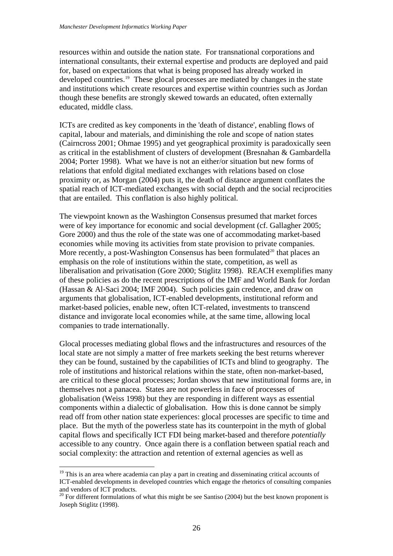resources within and outside the nation state. For transnational corporations and international consultants, their external expertise and products are deployed and paid for, based on expectations that what is being proposed has already worked in developed countries.[19](#page-27-0) These glocal processes are mediated by changes in the state and institutions which create resources and expertise within countries such as Jordan though these benefits are strongly skewed towards an educated, often externally educated, middle class.

(Cairncross 2001; Ohmae 1995) and yet geographical proximity is paradoxically seen relations that enfold digital mediated exchanges with relations based on close proximity or, as Morgan (2004) puts it, the death of distance argument conflates the spatial reach of ICT-mediated exchanges with social depth and the social reciprocities ICTs are credited as key components in the 'death of distance', enabling flows of capital, labour and materials, and diminishing the role and scope of nation states as critical in the establishment of clusters of development (Bresnahan & Gambardella 2004; Porter 1998). What we have is not an either/or situation but new forms of that are entailed. This conflation is also highly political.

Gore 2000) and thus the role of the state was one of accommodating market-based liberalisation and privatisation (Gore 2000; Stiglitz 1998). REACH exemplifies many of these policies as do the recent prescriptions of the IMF and World Bank for Jordan arguments that globalisation, ICT-enabled developments, institutional reform and market-based policies, enable new, often ICT-related, investments to transcend The viewpoint known as the Washington Consensus presumed that market forces were of key importance for economic and social development (cf. Gallagher 2005; economies while moving its activities from state provision to private companies. More recently, a post-Washington Consensus has been formulated<sup>[20](#page-27-1)</sup> that places an emphasis on the role of institutions within the state, competition, as well as (Hassan & Al-Saci 2004; IMF 2004). Such policies gain credence, and draw on distance and invigorate local economies while, at the same time, allowing local companies to trade internationally.

they can be found, sustained by the capabilities of ICTs and blind to geography. The role of institutions and historical relations within the state, often non-market-based, are critical to these glocal processes; Jordan shows that new institutional forms are, in place. But the myth of the powerless state has its counterpoint in the myth of global accessible to any country. Once again there is a conflation between spatial reach and Glocal processes mediating global flows and the infrastructures and resources of the local state are not simply a matter of free markets seeking the best returns wherever themselves not a panacea. States are not powerless in face of processes of globalisation (Weiss 1998) but they are responding in different ways as essential components within a dialectic of globalisation. How this is done cannot be simply read off from other nation state experiences: glocal processes are specific to time and capital flows and specifically ICT FDI being market-based and therefore *potentially* social complexity: the attraction and retention of external agencies as well as

<u>.</u>

<span id="page-27-0"></span><sup>&</sup>lt;sup>19</sup> This is an area where academia can play a part in creating and disseminating critical accounts of ICT-enabled developments in developed countries which engage the rhetorics of consulting companies and vendors of ICT products.

<span id="page-27-1"></span><sup>&</sup>lt;sup>20</sup> For different formulations of what this might be see Santiso (2004) but the best known proponent is Joseph Stiglitz (1998).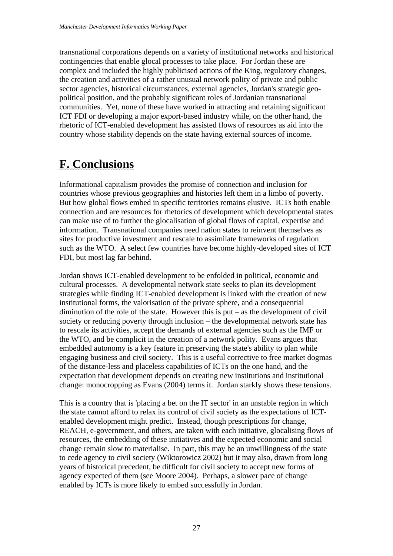<span id="page-28-0"></span>transnational corporations depends on a variety of institutional networks and histor ical contingencies that enable glocal processes to take place. For Jordan these are complex and included the highly publicised actions of the King, regulatory chan ges, the creation and activities of a rather unusual network polity of private and public sector agencies, historical circumstances, external agencies, Jordan's strategic geopolitical position, and the probably significant roles of Jordanian transnational communities. Yet, none of these have worked in attracting and retaining signific ant ICT FDI or developing a major export-based industry while, on the other hand, the rhetoric of ICT-enabled development has assisted flows of resources as aid into the country whose stability depends on the state having external sources of income.

### **F. Conclusions**

Informational capitalism provides the promise of connection and inclusion for countries whose previous geographies and histories left them in a limbo of poverty. But how global flows embed in specific territories remains elusive. ICTs both enabl e connection and are resources for rhetorics of development which developmental sta tes can make use of to further the glocalisation of global flows of capital, expertise and information. Transnational co mpanies need nation states to reinvent themselves as sites for productive investment and rescale to assimilate frameworks of regulation such as the WTO. A select few countries have become highly-developed sites of ICT FDI, but most lag far behind.

Jordan shows ICT-enabled development to be enfolded in political, economic and diminution of the role of the state. However this is put  $-$  as the development of civil society or reducing poverty through inclusion – the developmental network state has the WTO, and be complicit in the creation of a network polity. Evans argues that of the distance-less and placeless capabilities of ICTs on the one hand, and the . change: monocropping as Evans (2004) terms it. Jordan starkly shows these tensions cultural processes. A developmental network state seeks to plan its development strategies while finding ICT-enabled development is linked with the creation of new institutional forms, the valorisation of the private sphere, and a consequential to rescale its activities, accept the demands of external agencies such as the IMF or embedded autonomy is a key feature in preserving the state's ability to plan while engaging business and civil society. This is a useful corrective to free market dogmas expectation that development depends on creating new institutions and institutional

resources, the embedding of these initiatives and the expected economic and social change remain slow to materialise. In part, this may be an unwillingness of the state to cede agency to civil society (Wiktorowicz 2002) but it may also, drawn from long years of historical precedent, be difficult for civil society to accept new forms of This is a country that is 'placing a bet on the IT sector' in an unstable region in which the state cannot afford to relax its control of civil society as the expectations of ICTenabled development might predict. Instead, though prescriptions for change, REACH, e-government, and others, are taken with each initiative, glocalising flows of agency expected of them (see Moore 2004). Perhaps, a slower pace of change enabled by ICTs is more likely to embed successfully in Jordan.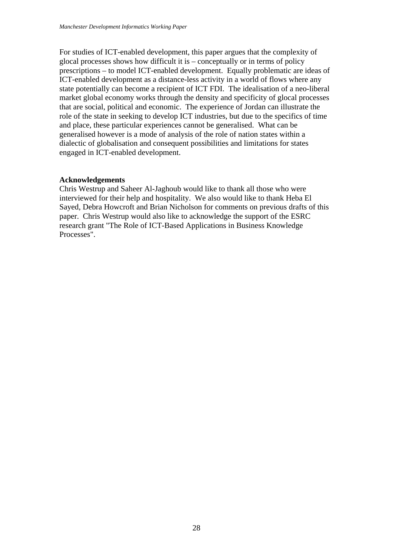For studies of ICT-enabled development, this paper argues that the complexity of glocal processes shows how difficult it is – conceptually or in terms of policy prescriptions – to model ICT-enabled development. Equally problematic are ideas of ICT-enabled development as a distance-less activity in a world of flows where any state potentially can become a recipient of ICT FDI. The idealisation of a ne o-liberal market global economy works through the density and specificity of glocal pro cesses that are social, political and economic. The experience of Jordan can illustrate t he role of the state in seeking to develop IC T industries, but due to the specifics of time and place, these particular experiences cannot be generalised. What can be generalised however is a mode of analysis of the role of nation states within a dialectic of globalisation and consequent possibilities and limitations for states engaged in ICT-enabled development.

#### **Acknowledgements**

interviewed for their help and hospitality. We also would like to thank Heba El Sayed, Debra Howcroft and Brian Nicholson for comments on previous drafts of this paper. Chris Westrup would also like to acknowledge the support of the ESRC research grant "The Role of ICT-Based Applications in Business Knowledge Processes". Chris Westrup and Saheer Al-Jaghoub would like to thank all those who were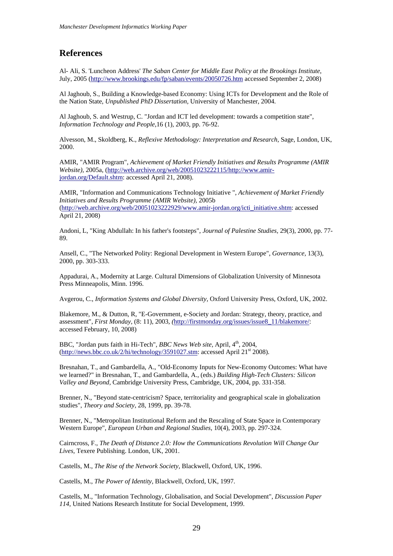#### <span id="page-30-0"></span>**References**

Al- Ali, S. 'Luncheon Address' *The Saban Center for Middle East Policy at the Brookings Institute*, July, 2005 (<http://www.brookings.edu/fp/saban/events/20050726.htm> accessed September 2, 2008)

Al Jaghoub, S., Building a Knowledge-based Economy: Using ICTs for Development and the Role of the Nation State, *Unpublished PhD Dissertation,* University of Manchester, 2004.

Al Jaghoub, S. and Westrup, C. "Jordan and ICT led development: towards a competition state", *Information Technology and People*,16 (1), 2003, pp. 76-92.

Alvesson, M., Skoldberg, K., *Reflexive Methodology: Interpretation and Research,* Sage, London, UK, 2000.

AMIR, "AMIR Program", *Achievement of Market Friendly Initiatives and Results Programme (AMIR Website),* 2005a, ([http://web.archive.org/web/20051023222115/http://www.amir](http://web.archive.org/web/20051023222115/http://www.amir-jordan.org/Default.shtm)[jordan.org/Default.shtm](http://web.archive.org/web/20051023222115/http://www.amir-jordan.org/Default.shtm): accessed April 21, 2008).

AMIR, "Information and Communications Technology Initiative ", *Achievement of Market Friendly Initiatives and Results Programme (AMIR Website),* 2005b [\(http://web.archive.org/web/20051023222929/www.amir-jordan.org/icti\\_initiative.shtm:](http://web.archive.org/web/20051023222929/www.amir-jordan.org/icti_initiative.shtm) accessed April 21, 2008)

Andoni, L, "King Abdullah: In his father's footsteps", *Journal of Palestine Studies,* 29(3), 2000, pp. 77- 89.

Ansell, C., "The Networked Polity: Regional Development in Western Europe", *Governance,* 13(3), 2000, pp. 303-333.

Appadurai, A., Modernity at Large. Cultural Dimensions of Globalization University of Minnesota Press Minneapolis, Minn. 1996.

Avgerou, C., *Information Systems and Global Diversity,* Oxford University Press, Oxford, UK, 2002.

Blakemore, M., & Dutton, R, "E-Government, e-Society and Jordan: Strategy, theory, practice, and assessment", *First Monday,* (8: 11), 2003*, (*[http://firstmonday.org/issues/issue8\\_11/blakemore/:](http://firstmonday.org/issues/issue8_11/blakemore/) accessed February, 10, 2008)

BBC, "Jordan puts faith in Hi-Tech", *BBC News Web site*, April, 4<sup>th</sup>, 2004, [\(http://news.bbc.co.uk/2/hi/technology/3591027.stm](http://news.bbc.co.uk/2/hi/technology/3591027.stm): accessed April 21<sup>st</sup> 2008).

Bresnahan, T., and Gambardella, A., "Old-Economy Inputs for New-Economy Outcomes: What have we learned?" in Bresnahan, T., and Gambardella, A., (eds.) *Building High-Tech Clusters: Silicon Valley and Beyond,* Cambridge University Press, Cambridge, UK, 2004, pp. 331-358.

Brenner, N., "Beyond state-centricism? Space, territoriality and geographical scale in globalization studies", *Theory and Society*, 28, 1999, pp. 39-78.

Brenner, N., "Metropolitan Institutional Reform and the Rescaling of State Space in Contemporary Western Europe", *European Urban and Regional Studies,* 10(4), 2003, pp. 297-324.

Cairncross, F., *The Death of Distance 2.0: How the Communications Revolution Will Change Our Lives,* Texere Publishing. London, UK, 2001.

Castells, M., *The Rise of the Network Society,* Blackwell, Oxford, UK, 1996.

Castells, M., *The Power of Identity,* Blackwell, Oxford, UK, 1997.

Castells, M., "Information Technology, Globalisation, and Social Development", *Discussion Paper 114*, United Nations Research Institute for Social Development, 1999.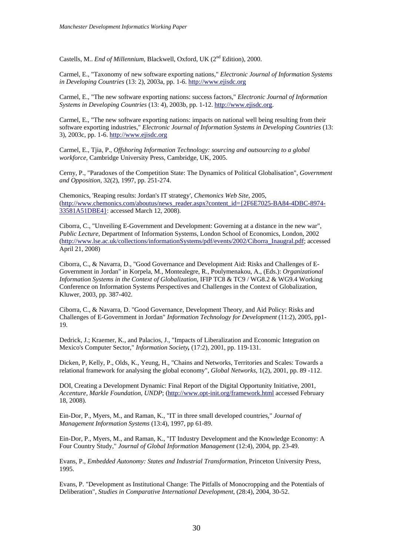Castells, M.. *End of Millennium*, Blackwell, Oxford, UK (2<sup>nd</sup> Edition), 2000.

Carmel, E., "Taxonomy of new software exporting nations," *Electronic Journal of Information Systems in Developing Countries* (13: 2), 2003a, pp. 1-6. [http://www.ejisdc.org](http://www.ejisdc.org/)

Carmel, E., "The new software exporting nations: success factors," *Electronic Journal of Information Systems in Developing Countries* (13: 4), 2003b, pp. 1-12. [http://www.ejisdc.org](http://www.ejisdc.org/).

Carmel, E., "The new software exporting nations: impacts on national well being resulting from their software exporting industries," *Electronic Journal of Information Systems in Developing Countries* (13: 3), 2003c, pp. 1-6. [http://www.ejisdc.org](http://www.ejisdc.org/)

Carmel, E., Tjia, P., *Offshoring Information Technology: sourcing and outsourcing to a global workforce,* Cambridge University Press, Cambridge, UK, 2005.

Cerny, P., "Paradoxes of the Competition State: The Dynamics of Political Globalisation", *Government and Opposition*, 32(2), 1997, pp. 251-274.

Chemonics, 'Reaping results: Jordan's IT strategy', *Chemonics Web Site,* 2005, [\(http://www.chemonics.com/aboutus/news\\_reader.aspx?content\\_id={2F6E7025-BA84-4DBC-8974-](http://www.chemonics.com/aboutus/news_reader.aspx?content_id=%7B2F6E7025-BA84-4DBC-8974-33581A51DBE4%7D) [33581A51DBE4}](http://www.chemonics.com/aboutus/news_reader.aspx?content_id=%7B2F6E7025-BA84-4DBC-8974-33581A51DBE4%7D): accessed March 12, 2008).

Ciborra, C., "Unveiling E-Government and Development: Governing at a distance in the new war", *Public Lecture,* Department of Information Systems, London School of Economics, London, 2002 [\(http://www.lse.ac.uk/collections/informationSystems/pdf/events/2002/Ciborra\\_Inaugral.pdf;](http://www.lse.ac.uk/collections/informationSystems/pdf/events/2002/Ciborra_Inaugral.pdf) accessed April 21, 2008)

Ciborra, C., & Navarra, D., "Good Governance and Development Aid: Risks and Challenges of E-Government in Jordan" in [Korpela,](http://www.informatik.uni-trier.de/%7Eley/db/indices/a-tree/k/Korpela:Mikko.html) M., [Montealegre](http://www.informatik.uni-trier.de/%7Eley/db/indices/a-tree/m/Montealegre:Ramiro.html), R., [Poulymenakou,](http://www.informatik.uni-trier.de/%7Eley/db/indices/a-tree/p/Poulymenakou:Angeliki.html) A., (Eds.): *Organizational Information Systems in the Context of Globalization*, IFIP TC8 & TC9 / WG8.2 & WG9.4 Working Conference on Information Systems Perspectives and Challenges in the Context of Globalization, Kluwer, 2003, pp. 387-402.

Ciborra, C., & Navarra, D. "Good Governance, Development Theory, and Aid Policy: Risks and Challenges of E-Government in Jordan" *Information Technology for Development* (11:2), 2005, pp1- 19.

Dedrick, J.; Kraemer, K., and Palacios, J., "Impacts of Liberalization and Economic Integration on Mexico's Computer Sector," *Information Society,* (17:2), 2001, pp. 119-131.

Dicken, P, Kelly, P., Olds, K., Yeung, H., "Chains and Networks, Territories and Scales: Towards a relational framework for analysing the global economy", *Global Networks,* 1(2), 2001, pp. 89 -112.

DOI, Creating a Development Dynamic: Final Report of the Digital Opportunity Initiative, 2001, *Accenture, Markle Foundation, UNDP*; [\(http://www.opt-init.org/framework.html](http://www.opt-init.org/framework.html) accessed February 18, 2008).

Ein-Dor, P., Myers, M., and Raman, K., "IT in three small developed countries," *Journal of Management Information Systems* (13:4), 1997, pp 61-89.

Ein-Dor, P., Myers, M., and Raman, K., "IT Industry Development and the Knowledge Economy: A Four Country Study," *Journal of Global Information Management* (12:4), 2004, pp. 23-49.

Evans, P., *Embedded Autonomy: States and Industrial Transformation,* Princeton University Press, 1995.

Evans, P. "Development as Institutional Change: The Pitfalls of Monocropping and the Potentials of Deliberation", *Studies in Comparative International Development*, (28:4), 2004, 30-52.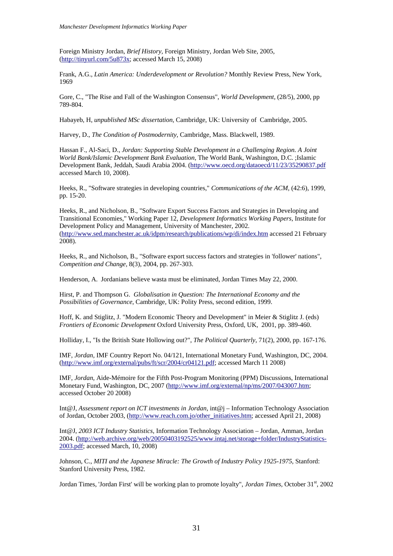Foreign Ministry Jordan, *Brief History,* Foreign Ministry, Jordan Web Site, 2005, [\(http://tinyurl.com/5u873x](http://tinyurl.com/5u873x); accessed March 15, 2008)

Frank, A.G., *Latin America: Underdevelopment or Revolution?* Monthly Review Press, New York, 1969

Gore, C., "The Rise and Fall of the Washington Consensus", *World Development,* (28/5), 2000, pp 789-804.

Habayeb, H, *unpublished MSc dissertation,* Cambridge, UK: University of Cambridge, 2005.

Harvey, D., *The Condition of Postmodernity,* Cambridge, Mass. Blackwell, 1989.

Hassan F., Al-Saci, D., *Jordan: Supporting Stable Development in a Challenging Region. A Joint World Bank/Islamic Development Bank Evaluation,* The World Bank, Washington, D.C. ;Islamic Development Bank, Jeddah, Saudi Arabia 2004. (<http://www.oecd.org/dataoecd/11/23/35290837.pdf> accessed March 10, 2008).

Heeks, R., "Software strategies in developing countries," *Communications of the ACM,* (42:6), 1999, pp. 15-20.

Heeks, R., and Nicholson, B., "Software Export Success Factors and Strategies in Developing and Transitional Economies," Working Paper 12, *Development Informatics Working Papers*, Institute for Development Policy and Management, University of Manchester, 2002. [\(http://www.sed.manchester.ac.uk/idpm/research/publications/wp/di/index.htm](http://www.sed.manchester.ac.uk/idpm/research/publications/wp/di/index.htm) accessed 21 February 2008).

Heeks, R., and Nicholson, B., "Software export success factors and strategies in 'follower' nations", *Competition and Change,* 8(3), 2004, pp. 267-303.

Henderson, A. Jordanians believe wasta must be eliminated, Jordan Times May 22, 2000.

Hirst, P. and Thompson G. *Globalisation in Question: The International Economy and the Possibilities of Governance*, Cambridge, UK: Polity Press, second edition, 1999.

Hoff, K. and Stiglitz, J. "Modern Economic Theory and Development" in Meier & Stiglitz J. (eds) *Frontiers of Economic Development* Oxford University Press, Oxford, UK, 2001, pp. 389-460.

Holliday, I., "Is the British State Hollowing out?", *The Political Quarterly*, 71(2), 2000, pp. 167-176.

IMF, *Jordan,* IMF Country Report No. 04/121, International Monetary Fund, Washington, DC, 2004. [\(http://www.imf.org/external/pubs/ft/scr/2004/cr04121.pdf](http://www.imf.org/external/pubs/ft/scr/2004/cr04121.pdf); accessed March 11 2008)

IMF, *Jordan*, Aide-Mémoire for the Fifth Post-Program Monitoring (PPM) Discussions, International Monetary Fund, Washington, DC, 2007 ([http://www.imf.org/external/np/ms/2007/043007.htm;](http://www.imf.org/external/np/ms/2007/043007.htm) accessed October 20 2008)

Int@J, *Assessment report on ICT investments in Jordan*, int@j – Information Technology Association of Jordan, October 2003, ([http://www.reach.com.jo/other\\_initiatives.htm](http://www.reach.com.jo/other_initiatives.htm); accessed April 21, 2008)

Int@J, *2003 ICT Industry Statistics*, Information Technology Association – Jordan, Amman, Jordan 2004. [\(http://web.archive.org/web/20050403192525/www.intaj.net/storage+folder/IndustryStatistics-](http://web.archive.org/web/20050403192525/www.intaj.net/storage+folder/IndustryStatistics-2003.pdf)[2003.pdf;](http://web.archive.org/web/20050403192525/www.intaj.net/storage+folder/IndustryStatistics-2003.pdf) accessed March, 10, 2008)

Johnson, C., *MITI and the Japanese Miracle: The Growth of Industry Policy 1925-1975*, Stanford: Stanford University Press, 1982.

Jordan Times, 'Jordan First' will be working plan to promote loyalty", *Jordan Times*, October 31<sup>st</sup>, 2002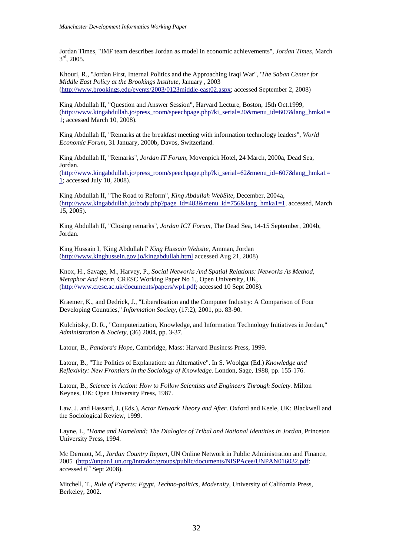Jordan Times, "IMF team describes Jordan as model in economic achievements", *Jordan Times,* March 3rd, 2005.

Khouri, R., "Jordan First, Internal Politics and the Approaching Iraqi War", '*The Saban Center for Middle East Policy at the Brookings Institute*, January , 2003 [\(http://www.brookings.edu/events/2003/0123middle-east02.aspx;](http://www.brookings.edu/events/2003/0123middle-east02.aspx) accessed September 2, 2008)

King Abdullah II, "Question and Answer Session", Harvard Lecture, Boston, 15th Oct.1999, [\(http://www.kingabdullah.jo/press\\_room/speechpage.php?ki\\_serial=20&menu\\_id=607&lang\\_hmka1=](http://www.kingabdullah.jo/press_room/speechpage.php?ki_serial=20&menu_id=607&lang_hmka1=1) [1;](http://www.kingabdullah.jo/press_room/speechpage.php?ki_serial=20&menu_id=607&lang_hmka1=1) accessed March 10, 2008).

King Abdullah II, "Remarks at the breakfast meeting with information technology leaders", *World Economic Forum*, 31 January, 2000b, Davos, Switzerland.

King Abdullah II, "Remarks", *Jordan IT Forum*, Movenpick Hotel, 24 March, 2000a, Dead Sea, Jordan. [\(http://www.kingabdullah.jo/press\\_room/speechpage.php?ki\\_serial=62&menu\\_id=607&lang\\_hmka1=](http://www.kingabdullah.jo/press_room/speechpage.php?ki_serial=62&menu_id=607&lang_hmka1=1) [1;](http://www.kingabdullah.jo/press_room/speechpage.php?ki_serial=62&menu_id=607&lang_hmka1=1) accessed July 10, 2008).

King Abdullah II, "The Road to Reform", *King Abdullah WebSite*, December, 2004a, [\(http://www.kingabdullah.jo/body.php?page\\_id=483&menu\\_id=756&lang\\_hmka1=1](http://www.kingabdullah.jo/body.php?page_id=483&menu_id=756&lang_hmka1=1), accessed, March 15, 2005).

King Abdullah II, "Closing remarks", *Jordan ICT Forum*, The Dead Sea, 14-15 September, 2004b, Jordan.

King Hussain I, 'King Abdullah I' *King Hussain Website*, Amman, Jordan [\(http://www.kinghussein.gov.jo/kingabdullah.html](http://www.kinghussein.gov.jo/kingabdullah.html) accessed Aug 21, 2008)

Knox, H., Savage, M., Harvey, P., *Social Networks And Spatial Relations: Networks As Method, Metaphor And Form*, CRESC Working Paper No 1., Open University, UK, [\(http://www.cresc.ac.uk/documents/papers/wp1.pdf;](http://www.cresc.ac.uk/documents/papers/wp1.pdf) accessed 10 Sept 2008).

Kraemer, K., and Dedrick, J., "Liberalisation and the Computer Industry: A Comparison of Four Developing Countries," *Information Society,* (17:2), 2001, pp. 83-90.

Kulchitsky, D. R., "Computerization, Knowledge, and Information Technology Initiatives in Jordan," *Administration & Society*, (36) 2004, pp. 3-37.

Latour, B., *Pandora's Hope,* Cambridge, Mass: Harvard Business Press, 1999.

Latour, B., "The Politics of Explanation: an Alternative". In S. Woolgar (Ed.) *Knowledge and Reflexivity: New Frontiers in the Sociology of Knowledge*. London, Sage, 1988, pp. 155-176.

Latour, B., *Science in Action: How to Follow Scientists and Engineers Through Society.* Milton Keynes, UK: Open University Press, 1987.

Law, J. and Hassard, J. (Eds.), *Actor Network Theory and After*. Oxford and Keele, UK: Blackwell and the Sociological Review, 1999.

Layne, L, "*Home and Homeland: The Dialogics of Tribal and National Identities in Jordan*, Princeton University Press, 1994.

Mc Dermott, M., *Jordan Country Report,* UN Online Network in Public Administration and Finance, 2005 [\(http://unpan1.un.org/intradoc/groups/public/documents/NISPAcee/UNPAN016032.pdf:](http://unpan1.un.org/intradoc/groups/public/documents/NISPAcee/UNPAN016032.pdf) accessed  $6<sup>th</sup>$  Sept 2008).

Mitchell, T., *Rule of Experts: Egypt, Techno-politics, Modernity,* University of California Press*,*  Berkeley, 2002.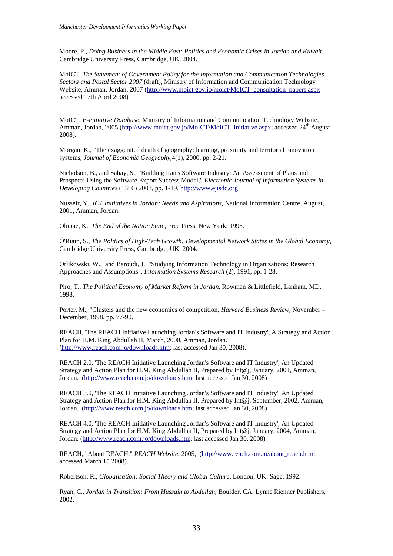Moore, P., *Doing Business in the Middle East: Politics and Economic Crises in Jordan and Kuwait,* Cambridge University Press, Cambridge, UK, 2004.

MoICT*, The Statement of Government Policy for the Information and Communication Technologies Sectors and Postal Sector 2007* (draft), Ministry of Information and Communication Technology Website, Amman, Jordan, 2007 [\(http://www.moict.gov.jo/moict/MoICT\\_consultation\\_papers.aspx](http://www.moict.gov.jo/moict/MoICT_consultation_papers.aspx) accessed 17th April 2008)

MoICT, *E-initiative Database*, Ministry of Information and Communication Technology Website, Amman, Jordan, 2005 ([http://www.moict.gov.jo/MoICT/MoICT\\_Initiative.aspx;](http://www.moict.gov.jo/MoICT/MoICT_Initiative.aspx) accessed 24<sup>th</sup> August 2008).

Morgan, K., "The exaggerated death of geography: learning, proximity and territorial innovation systems, *Journal of Economic Geography,*4(1), 2000, pp. 2-21.

Nicholson, B., and Sahay, S., "Building Iran's Software Industry: An Assessment of Plans and Prospects Using the Software Export Success Model," *Electronic Journal of Information Systems in Developing Countries* (13: 6) 2003, pp. 1-19. [http://www.ejisdc.org](http://www.ejisdc.org/)

Nusseir, Y., *ICT Initiatives in Jordan: Needs and Aspirations*, National Information Centre, August, 2001, Amman, Jordan.

Ohmae, K., *The End of the Nation State,* Free Press, New York, 1995.

Ó'Riain, S., *The Politics of High-Tech Growth: Developmental Network States in the Global Economy,* Cambridge University Press, Cambridge, UK, 2004.

Orlikowski, W., and Baroudi, J., "Studying Information Technology in Organizations: Research Approaches and Assumptions", *Information Systems Research* (2), 1991, pp. 1-28.

Piro, T., *The Political Economy of Market Reform in Jordan*, Rowman & Littlefield, Lanham, MD, 1998.

Porter, M., "Clusters and the new economics of competition, *Harvard Business Review,* November – December, 1998, pp. 77-90.

REACH, 'The REACH Initiative Launching Jordan's Software and IT Industry', A Strategy and Action Plan for H.M. King Abdullah II, March, 2000, Amman, Jordan. [\(http://www.reach.com.jo/downloads.htm](http://www.reach.com.jo/downloads.htm); last accessed Jan 30, 2008).

REACH 2.0, 'The REACH Initiative Launching Jordan's Software and IT Industry', An Updated Strategy and Action Plan for H.M. King Abdullah II, Prepared by Int@j, January, 2001, Amman, Jordan. (<http://www.reach.com.jo/downloads.htm>; last accessed Jan 30, 2008)

REACH 3.0, 'The REACH Initiative Launching Jordan's Software and IT Industry', An Updated Strategy and Action Plan for H.M. King Abdullah II, Prepared by Int@j, September, 2002, Amman, Jordan. (<http://www.reach.com.jo/downloads.htm>; last accessed Jan 30, 2008)

REACH 4.0, 'The REACH Initiative Launching Jordan's Software and IT Industry', An Updated Strategy and Action Plan for H.M. King Abdullah II, Prepared by Int@j, January, 2004, Amman, Jordan. [\(http://www.reach.com.jo/downloads.htm;](http://www.reach.com.jo/downloads.htm) last accessed Jan 30, 2008)

REACH, "About REACH," *REACH Website*, 2005, ([http://www.reach.com.jo/about\\_reach.htm;](http://www.reach.com.jo/about_reach.htm) accessed March 15 2008).

Robertson, R., *Globalisation: Social Theory and Global Culture*, London, UK: Sage, 1992.

Ryan, C., *Jordan in Transition: From Hussain to Abdullah*, Boulder, CA: Lynne Rienner Publishers, 2002.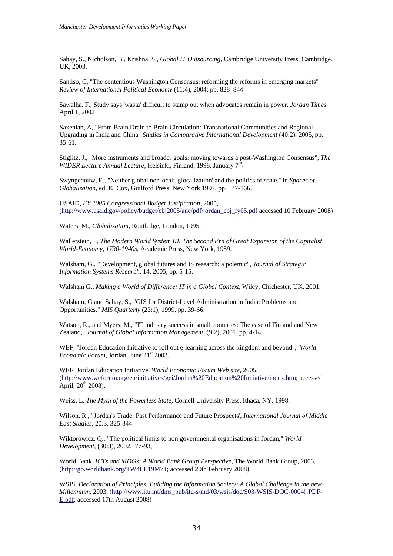Sahay, S., Nicholson, B., Krishna, S., *Global IT Outsourcing*, Cambridge University Press, Cambridge, UK, 2003.

Santiso, C, "The contentious Washington Consensus: reforming the reforms in emerging markets" *Review of International Political Economy* (11:4), 2004: pp. 828–844

Sawalha, F., Study says 'wasta' difficult to stamp out when advocates remain in power, *Jordan Times* April 1, 2002

Saxenian, A, "From Brain Drain to Brain Circulation: Transnational Communities and Regional Upgrading in India and China" *Studies in Comparative International Development* (40:2), 2005, pp.  $35-61$ .

Stiglitz, J., "More instruments and broader goals: moving towards a post-Washington Consensus", *The WIDER Lecture Annual Lecture, Helsinki, Finland, 1998, January 7<sup>th</sup>.* 

Swyngedouw, E., "Neither global nor local: 'glocalization' and the politics of scale,'' in *Spaces of Globalization*, ed. K. Cox, Guilford Press, New York 1997, pp. 137-166.

USAID, *FY 2005 Congressional Budget Justification*, 2005, [\(http://www.usaid.gov/policy/budget/cbj2005/ane/pdf/jordan\\_cbj\\_fy05.pdf](http://www.usaid.gov/policy/budget/cbj2005/ane/pdf/jordan_cbj_fy05.pdf) accessed 10 February 2008)

Waters, M., *Globalization,* Routledge, London, 1995.

Wallerstein, I., *The Modern World System III. The Second Era of Great Expansion of the Capitalist World-Economy, 1730-1940s*, Academic Press, New York, 1989.

Walsham, G., "Development, global futures and IS research: a polemic", *Journal of Strategic Information Systems Research,* 14, 2005, pp. 5-15.

Walsham G., *Making a World of Difference: IT in a Global Context,* Wiley, Chichester, UK, 2001.

Walsham, G and Sahay, S., "GIS for District-Level Administration in India: Problems and Opportunities," *MIS Quarterly* (23:1), 1999, pp. 39-66.

Watson, R., and Myers, M., "IT industry success in small countries: The case of Finland and New Zealand," *Journal of Global Information Management,* (9:2), 2001, pp. 4-14.

WEF, "Jordan Education Initiative to roll out e-learning across the kingdom and beyond", *World Economic Forum, Jordan, June 21*<sup>st</sup> 2003.

WEF, Jordan Education Initiative, *World Economic Forum Web site,* 2005, [\(http://www.weforum.org/en/initiatives/gei/Jordan%20Education%20Initiative/index.htm;](http://www.weforum.org/en/initiatives/gei/Jordan%20Education%20Initiative/index.htm) accessed April,  $20^{th}$  2008).

Weiss, L, *The Myth of the Powerless State,* Cornell University Press, Ithaca, NY, 1998.

Wilson, R., "Jordan's Trade: Past Performance and Future Prospects', *International Journal of Middle East Studies,* 20:3, 325-344.

Wiktorowicz, Q., "The political limits to non governmental organisations in Jordan," *World Development,* (30:3), 2002, 77-93,

World Bank, *ICTs and MDGs: A World Bank Group Perspective,* The World Bank Group, 2003, [\(http://go.worldbank.org/TW4LL19M71;](http://go.worldbank.org/TW4LL19M71) accessed 20th February 2008)

WSIS, *Declaration of Principles: Building the Information Society: A Global Challenge in the new Millennium*, 2003, [\(http://www.itu.int/dms\\_pub/itu-s/md/03/wsis/doc/S03-WSIS-DOC-0004!!PDF-](http://www.itu.int/dms_pub/itu-s/md/03/wsis/doc/S03-WSIS-DOC-0004!!PDF-E.pdf)[E.pdf;](http://www.itu.int/dms_pub/itu-s/md/03/wsis/doc/S03-WSIS-DOC-0004!!PDF-E.pdf) accessed 17th August 2008)